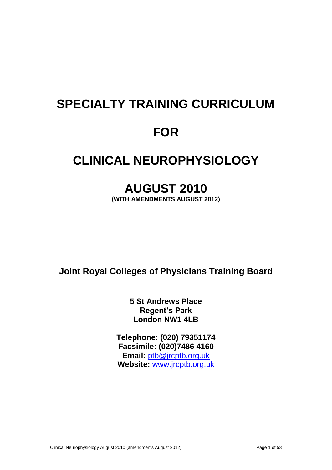# **SPECIALTY TRAINING CURRICULUM FOR**

# **CLINICAL NEUROPHYSIOLOGY**

# **AUGUST 2010**

**(WITH AMENDMENTS AUGUST 2012)**

**Joint Royal Colleges of Physicians Training Board**

**5 St Andrews Place Regent's Park London NW1 4LB**

**Telephone: (020) 79351174 Facsimile: (020)7486 4160 Email:** [ptb@jrcptb.org.uk](mailto:ptb@jrcptb.org.uk) **Website:** [www.jrcptb.org.uk](http://www.jrcptb.org.uk/)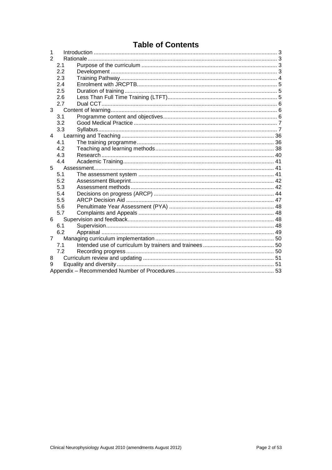# **Table of Contents**

| 1              |             |  |
|----------------|-------------|--|
| $\overline{2}$ |             |  |
|                | 2.1         |  |
|                | 2.2         |  |
|                | 2.3         |  |
|                | 2.4         |  |
|                | 2.5         |  |
|                | 2.6         |  |
|                | 2.7         |  |
| 3              |             |  |
|                | 3.1         |  |
|                | 3.2         |  |
|                | 3.3         |  |
| $\overline{4}$ |             |  |
|                | 4.1         |  |
|                | 4.2         |  |
|                | 4.3         |  |
|                | 4.4         |  |
|                | $5^{\circ}$ |  |
|                | 5.1         |  |
|                | 5.2         |  |
|                | 5.3         |  |
|                | 5.4         |  |
|                | 5.5         |  |
|                | 5.6         |  |
|                | 5.7         |  |
| 6              |             |  |
|                | 6.1         |  |
|                | 6.2         |  |
| 7              |             |  |
|                | 7.1         |  |
|                | 7.2         |  |
| 8              |             |  |
| 9              |             |  |
|                |             |  |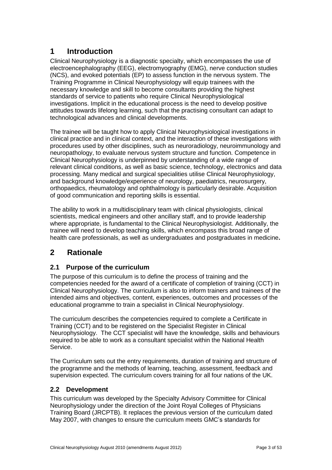# <span id="page-2-0"></span>**1 Introduction**

Clinical Neurophysiology is a diagnostic specialty, which encompasses the use of electroencephalography (EEG), electromyography (EMG), nerve conduction studies (NCS), and evoked potentials (EP) to assess function in the nervous system. The Training Programme in Clinical Neurophysiology will equip trainees with the necessary knowledge and skill to become consultants providing the highest standards of service to patients who require Clinical Neurophysiological investigations. Implicit in the educational process is the need to develop positive attitudes towards lifelong learning, such that the practising consultant can adapt to technological advances and clinical developments.

The trainee will be taught how to apply Clinical Neurophysiological investigations in clinical practice and in clinical context, and the interaction of these investigations with procedures used by other disciplines, such as neuroradiology, neuroimmunology and neuropathology, to evaluate nervous system structure and function. Competence in Clinical Neurophysiology is underpinned by understanding of a wide range of relevant clinical conditions, as well as basic science, technology, electronics and data processing. Many medical and surgical specialities utilise Clinical Neurophysiology, and background knowledge/experience of neurology, paediatrics, neurosurgery, orthopaedics, rheumatology and ophthalmology is particularly desirable. Acquisition of good communication and reporting skills is essential.

The ability to work in a multidisciplinary team with clinical physiologists, clinical scientists, medical engineers and other ancillary staff, and to provide leadership where appropriate, is fundamental to the Clinical Neurophysiologist. Additionally, the trainee will need to develop teaching skills, which encompass this broad range of health care professionals, as well as undergraduates and postgraduates in medicine**.**

# <span id="page-2-1"></span>**2 Rationale**

## <span id="page-2-2"></span>**2.1 Purpose of the curriculum**

The purpose of this curriculum is to define the process of training and the competencies needed for the award of a certificate of completion of training (CCT) in Clinical Neurophysiology. The curriculum is also to inform trainers and trainees of the intended aims and objectives, content, experiences, outcomes and processes of the educational programme to train a specialist in Clinical Neurophysiology.

The curriculum describes the competencies required to complete a Certificate in Training (CCT) and to be registered on the Specialist Register in Clinical Neurophysiology. The CCT specialist will have the knowledge, skills and behaviours required to be able to work as a consultant specialist within the National Health Service.

The Curriculum sets out the entry requirements, duration of training and structure of the programme and the methods of learning, teaching, assessment, feedback and supervision expected. The curriculum covers training for all four nations of the UK.

## <span id="page-2-3"></span>**2.2 Development**

This curriculum was developed by the Specialty Advisory Committee for Clinical Neurophysiology under the direction of the Joint Royal Colleges of Physicians Training Board (JRCPTB). It replaces the previous version of the curriculum dated May 2007, with changes to ensure the curriculum meets GMC's standards for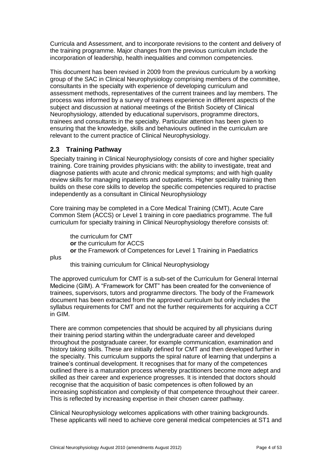Curricula and Assessment, and to incorporate revisions to the content and delivery of the training programme. Major changes from the previous curriculum include the incorporation of leadership, health inequalities and common competencies.

This document has been revised in 2009 from the previous curriculum by a working group of the SAC in Clinical Neurophysiology comprising members of the committee, consultants in the specialty with experience of developing curriculum and assessment methods, representatives of the current trainees and lay members. The process was informed by a survey of trainees experience in different aspects of the subject and discussion at national meetings of the British Society of Clinical Neurophysiology, attended by educational supervisors, programme directors, trainees and consultants in the specialty. Particular attention has been given to ensuring that the knowledge, skills and behaviours outlined in the curriculum are relevant to the current practice of Clinical Neurophysiology.

## <span id="page-3-0"></span>**2.3 Training Pathway**

Specialty training in Clinical Neurophysiology consists of core and higher speciality training. Core training provides physicians with: the ability to investigate, treat and diagnose patients with acute and chronic medical symptoms; and with high quality review skills for managing inpatients and outpatients. Higher speciality training then builds on these core skills to develop the specific competencies required to practise independently as a consultant in Clinical Neurophysiology

Core training may be completed in a Core Medical Training (CMT), Acute Care Common Stem (ACCS) or Level 1 training in core paediatrics programme. The full curriculum for specialty training in Clinical Neurophysiology therefore consists of:

the curriculum for CMT **or** the curriculum for ACCS **or** the Framework of Competences for Level 1 Training in Paediatrics

plus

this training curriculum for Clinical Neurophysiology

The approved curriculum for CMT is a sub-set of the Curriculum for General Internal Medicine (GIM). A "Framework for CMT" has been created for the convenience of trainees, supervisors, tutors and programme directors. The body of the Framework document has been extracted from the approved curriculum but only includes the syllabus requirements for CMT and not the further requirements for acquiring a CCT in GIM.

There are common competencies that should be acquired by all physicians during their training period starting within the undergraduate career and developed throughout the postgraduate career, for example communication, examination and history taking skills. These are initially defined for CMT and then developed further in the specialty. This curriculum supports the spiral nature of learning that underpins a trainee's continual development. It recognises that for many of the competences outlined there is a maturation process whereby practitioners become more adept and skilled as their career and experience progresses. It is intended that doctors should recognise that the acquisition of basic competences is often followed by an increasing sophistication and complexity of that competence throughout their career. This is reflected by increasing expertise in their chosen career pathway.

Clinical Neurophysiology welcomes applications with other training backgrounds. These applicants will need to achieve core general medical competencies at ST1 and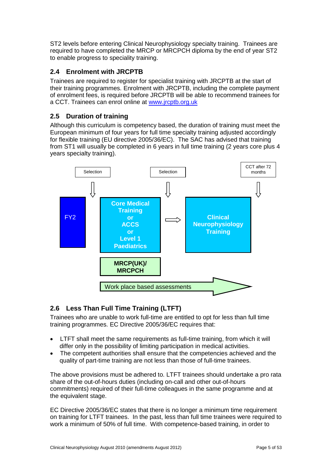ST2 levels before entering Clinical Neurophysiology specialty training. Trainees are required to have completed the MRCP or MRCPCH diploma by the end of year ST2 to enable progress to speciality training.

## <span id="page-4-0"></span>**2.4 Enrolment with JRCPTB**

Trainees are required to register for specialist training with JRCPTB at the start of their training programmes. Enrolment with JRCPTB, including the complete payment of enrolment fees, is required before JRCPTB will be able to recommend trainees for a CCT. Trainees can enrol online at [www.jrcptb.org.uk](http://www.jrcptb.org.uk/)

# <span id="page-4-1"></span>**2.5 Duration of training**

Although this curriculum is competency based, the duration of training must meet the European minimum of four years for full time specialty training adjusted accordingly for flexible training (EU directive 2005/36/EC). The SAC has advised that training from ST1 will usually be completed in 6 years in full time training (2 years core plus 4 years specialty training).



# <span id="page-4-2"></span>**2.6 Less Than Full Time Training (LTFT)**

Trainees who are unable to work full-time are entitled to opt for less than full time training programmes. EC Directive 2005/36/EC requires that:

- LTFT shall meet the same requirements as full-time training, from which it will differ only in the possibility of limiting participation in medical activities.
- The competent authorities shall ensure that the competencies achieved and the quality of part-time training are not less than those of full-time trainees.

The above provisions must be adhered to. LTFT trainees should undertake a pro rata share of the out-of-hours duties (including on-call and other out-of-hours commitments) required of their full-time colleagues in the same programme and at the equivalent stage.

EC Directive 2005/36/EC states that there is no longer a minimum time requirement on training for LTFT trainees. In the past, less than full time trainees were required to work a minimum of 50% of full time. With competence-based training, in order to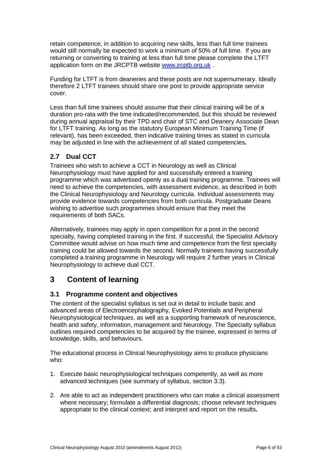retain competence, in addition to acquiring new skills, less than full time trainees would still normally be expected to work a minimum of 50% of full time. If you are returning or converting to training at less than full time please complete the LTFT application form on the JRCPTB website [www.jrcptb.org.uk](http://www.jrcptb.org.uk/) .

Funding for LTFT is from deaneries and these posts are not supernumerary. Ideally therefore 2 LTFT trainees should share one post to provide appropriate service cover.

Less than full time trainees should assume that their clinical training will be of a duration pro-rata with the time indicated/recommended, but this should be reviewed during annual appraisal by their TPD and chair of STC and Deanery Associate Dean for LTFT training. As long as the statutory European Minimum Training Time (if relevant), has been exceeded, then indicative training times as stated in curricula may be adjusted in line with the achievement of all stated competencies**.**

# <span id="page-5-0"></span>**2.7 Dual CCT**

Trainees who wish to achieve a CCT in Neurology as well as Clinical Neurophysiology must have applied for and successfully entered a training programme which was advertised openly as a dual training programme. Trainees will need to achieve the competencies, with assessment evidence, as described in both the Clinical Neurophysiology and Neurology curricula. Individual assessments may provide evidence towards competencies from both curricula. Postgraduate Deans wishing to advertise such programmes should ensure that they meet the requirements of both SACs.

Alternatively, trainees may apply in open competition for a post in the second specialty, having completed training in the first. If successful, the Specialist Advisory Committee would advise on how much time and competence from the first specialty training could be allowed towards the second. Normally trainees having successfully completed a training programme in Neurology will require 2 further years in Clinical Neurophysiology to achieve dual CCT.

# <span id="page-5-1"></span>**3 Content of learning**

## <span id="page-5-2"></span>**3.1 Programme content and objectives**

The content of the specialist syllabus is set out in detail to include basic and advanced areas of Electroencephalography, Evoked Potentials and Peripheral Neurophysiological techniques, as well as a supporting framework of neuroscience, health and safety, information, management and Neurology. The Specialty syllabus outlines required competencies to be acquired by the trainee, expressed in terms of knowledge, skills, and behaviours.

The educational process in Clinical Neurophysiology aims to produce physicians who:

- 1. Execute basic neurophysiological techniques competently, as well as more advanced techniques (see summary of syllabus, section [3.3\)](#page-6-1).
- 2. Are able to act as independent practitioners who can make a clinical assessment where necessary; formulate a differential diagnosis; choose relevant techniques appropriate to the clinical context; and interpret and report on the results**.**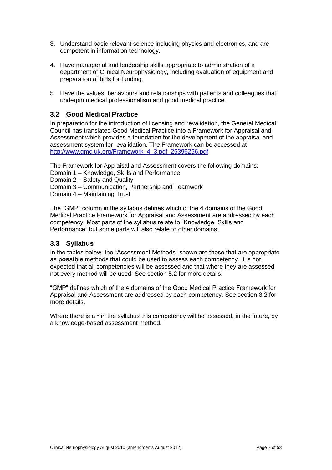- 3. Understand basic relevant science including physics and electronics, and are competent in information technology**.**
- 4. Have managerial and leadership skills appropriate to administration of a department of Clinical Neurophysiology, including evaluation of equipment and preparation of bids for funding.
- 5. Have the values, behaviours and relationships with patients and colleagues that underpin medical professionalism and good medical practice.

## <span id="page-6-0"></span>**3.2 Good Medical Practice**

In preparation for the introduction of licensing and revalidation, the General Medical Council has translated Good Medical Practice into a Framework for Appraisal and Assessment which provides a foundation for the development of the appraisal and assessment system for revalidation. The Framework can be accessed at [http://www.gmc-uk.org/Framework\\_4\\_3.pdf\\_25396256.pdf](http://www.gmc-uk.org/Framework_4_3.pdf_25396256.pdf)

The Framework for Appraisal and Assessment covers the following domains: Domain 1 – Knowledge, Skills and Performance

Domain 2 – Safety and Quality

Domain 3 – Communication, Partnership and Teamwork

Domain 4 – Maintaining Trust

The "GMP" column in the syllabus defines which of the 4 domains of the Good Medical Practice Framework for Appraisal and Assessment are addressed by each competency. Most parts of the syllabus relate to "Knowledge, Skills and Performance" but some parts will also relate to other domains.

### <span id="page-6-1"></span>**3.3 Syllabus**

In the tables below, the "Assessment Methods" shown are those that are appropriate as **possible** methods that could be used to assess each competency. It is not expected that all competencies will be assessed and that where they are assessed not every method will be used. See section [5.2](#page-41-0) for more details.

"GMP" defines which of the 4 domains of the Good Medical Practice Framework for Appraisal and Assessment are addressed by each competency. See section [3.2](#page-6-0) for more details.

Where there is a  $*$  in the syllabus this competency will be assessed, in the future, by a knowledge-based assessment method.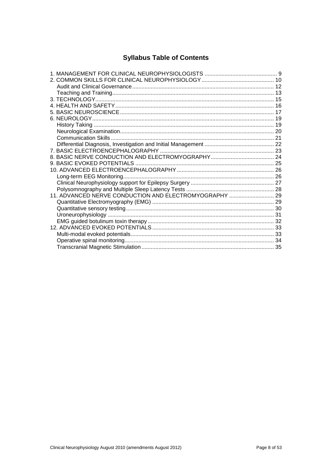# **Syllabus Table of Contents**

| 11. ADVANCED NERVE CONDUCTION AND ELECTROMYOGRAPHY  29 |  |
|--------------------------------------------------------|--|
|                                                        |  |
|                                                        |  |
|                                                        |  |
|                                                        |  |
|                                                        |  |
|                                                        |  |
|                                                        |  |
|                                                        |  |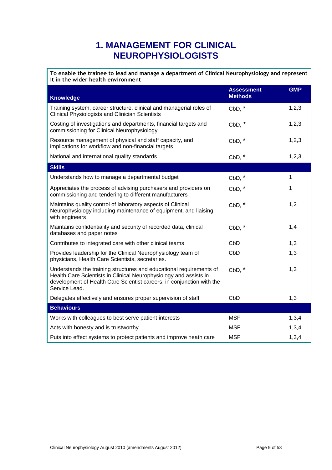# **1. MANAGEMENT FOR CLINICAL NEUROPHYSIOLOGISTS**

<span id="page-8-0"></span>**To enable the trainee to lead and manage a department of Clinical Neurophysiology and represent it in the wider health environment**

| <b>Knowledge</b>                                                                                                                                                                                                                   | <b>Assessment</b><br><b>Methods</b> | <b>GMP</b>   |
|------------------------------------------------------------------------------------------------------------------------------------------------------------------------------------------------------------------------------------|-------------------------------------|--------------|
| Training system, career structure, clinical and managerial roles of<br><b>Clinical Physiologists and Clinician Scientists</b>                                                                                                      | $CbD, *$                            | 1, 2, 3      |
| Costing of investigations and departments, financial targets and<br>commissioning for Clinical Neurophysiology                                                                                                                     | $CbD, *$                            | 1,2,3        |
| Resource management of physical and staff capacity, and<br>implications for workflow and non-financial targets                                                                                                                     | $CbD, *$                            | 1,2,3        |
| National and international quality standards                                                                                                                                                                                       | $CbD, *$                            | 1,2,3        |
| <b>Skills</b>                                                                                                                                                                                                                      |                                     |              |
| Understands how to manage a departmental budget                                                                                                                                                                                    | $CbD, *$                            | $\mathbf{1}$ |
| Appreciates the process of advising purchasers and providers on<br>commissioning and tendering to different manufacturers                                                                                                          | $CbD, *$                            | 1            |
| Maintains quality control of laboratory aspects of Clinical<br>Neurophysiology including maintenance of equipment, and liaising<br>with engineers                                                                                  | $CbD, *$                            | 1,2          |
| Maintains confidentiality and security of recorded data, clinical<br>databases and paper notes                                                                                                                                     | $CbD, *$                            | 1,4          |
| Contributes to integrated care with other clinical teams                                                                                                                                                                           | CbD                                 | 1,3          |
| Provides leadership for the Clinical Neurophysiology team of<br>physicians, Health Care Scientists, secretaries.                                                                                                                   | CbD                                 | 1,3          |
| Understands the training structures and educational requirements of<br>Health Care Scientists in Clinical Neurophysiology and assists in<br>development of Health Care Scientist careers, in conjunction with the<br>Service Lead. | $CbD, *$                            | 1,3          |
| Delegates effectively and ensures proper supervision of staff                                                                                                                                                                      | CbD                                 | 1,3          |
| <b>Behaviours</b>                                                                                                                                                                                                                  |                                     |              |
| Works with colleagues to best serve patient interests                                                                                                                                                                              | <b>MSF</b>                          | 1,3,4        |
| Acts with honesty and is trustworthy                                                                                                                                                                                               | <b>MSF</b>                          | 1,3,4        |
| Puts into effect systems to protect patients and improve heath care                                                                                                                                                                | <b>MSF</b>                          | 1,3,4        |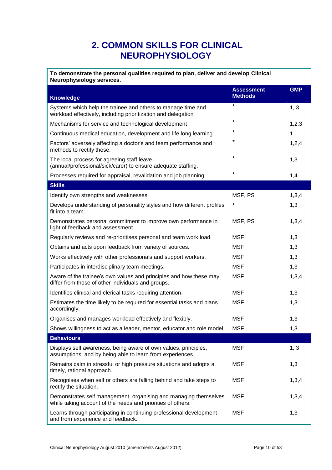# <span id="page-9-0"></span>**2. COMMON SKILLS FOR CLINICAL NEUROPHYSIOLOGY**

| To demonstrate the personal qualities required to plan, deliver and develop Clinical<br>Neurophysiology services.               |                                     |            |  |  |
|---------------------------------------------------------------------------------------------------------------------------------|-------------------------------------|------------|--|--|
| <b>Knowledge</b>                                                                                                                | <b>Assessment</b><br><b>Methods</b> | <b>GMP</b> |  |  |
| Systems which help the trainee and others to manage time and<br>workload effectively, including prioritization and delegation   | $\star$                             | 1, 3       |  |  |
| Mechanisms for service and technological development                                                                            | $\star$                             | 1,2,3      |  |  |
| Continuous medical education, development and life long learning                                                                | $^\star$                            | 1          |  |  |
| Factors' adversely affecting a doctor's and team performance and<br>methods to rectify these.                                   | *                                   | 1,2,4      |  |  |
| The local process for agreeing staff leave<br>(annual/professional/sick/carer) to ensure adequate staffing.                     | $\star$                             | 1,3        |  |  |
| Processes required for appraisal, revalidation and job planning.                                                                | *                                   | 1,4        |  |  |
| <b>Skills</b>                                                                                                                   |                                     |            |  |  |
| Identify own strengths and weaknesses.                                                                                          | MSF, PS                             | 1,3,4      |  |  |
| Develops understanding of personality styles and how different profiles<br>fit into a team.                                     | *                                   | 1,3        |  |  |
| Demonstrates personal commitment to improve own performance in<br>light of feedback and assessment.                             | MSF, PS                             | 1,3,4      |  |  |
| Regularly reviews and re-prioritises personal and team work load.                                                               | <b>MSF</b>                          | 1,3        |  |  |
| Obtains and acts upon feedback from variety of sources.                                                                         | <b>MSF</b>                          | 1,3        |  |  |
| Works effectively with other professionals and support workers.                                                                 | <b>MSF</b>                          | 1,3        |  |  |
| Participates in interdisciplinary team meetings.                                                                                | <b>MSF</b>                          | 1,3        |  |  |
| Aware of the trainee's own values and principles and how these may<br>differ from those of other individuals and groups.        | <b>MSF</b>                          | 1,3,4      |  |  |
| Identifies clinical and clerical tasks requiring attention.                                                                     | <b>MSF</b>                          | 1,3        |  |  |
| Estimates the time likely to be required for essential tasks and plans<br>accordingly.                                          | <b>MSF</b>                          | 1,3        |  |  |
| Organises and manages workload effectively and flexibly.                                                                        | <b>MSF</b>                          | 1,3        |  |  |
| Shows willingness to act as a leader, mentor, educator and role model.                                                          | <b>MSF</b>                          | 1,3        |  |  |
| <b>Behaviours</b>                                                                                                               |                                     |            |  |  |
| Displays self awareness, being aware of own values, principles,<br>assumptions, and by being able to learn from experiences.    | <b>MSF</b>                          | 1, 3       |  |  |
| Remains calm in stressful or high pressure situations and adopts a<br>timely, rational approach.                                | <b>MSF</b>                          | 1,3        |  |  |
| Recognises when self or others are falling behind and take steps to<br>rectify the situation.                                   | <b>MSF</b>                          | 1,3,4      |  |  |
| Demonstrates self management, organising and managing themselves<br>while taking account of the needs and priorities of others. | <b>MSF</b>                          | 1,3,4      |  |  |
| Learns through participating in continuing professional development<br>and from experience and feedback.                        | <b>MSF</b>                          | 1,3        |  |  |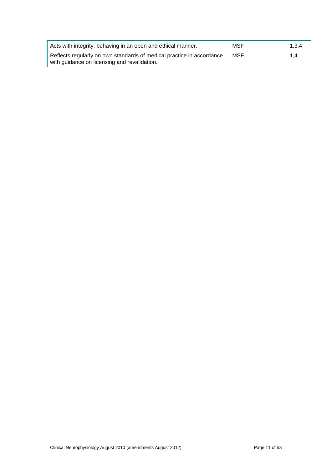| Acts with integrity, behaving in an open and ethical manner.          | MSF | 1.3.4 |
|-----------------------------------------------------------------------|-----|-------|
| Reflects regularly on own standards of medical practice in accordance | MSF | 1.4   |
| with guidance on licensing and revalidation.                          |     |       |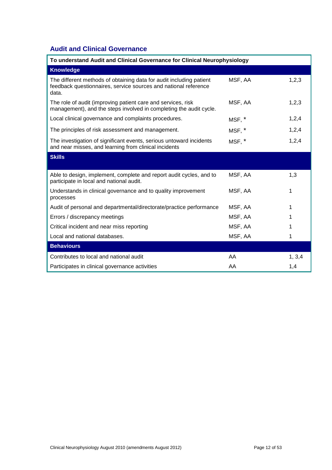# <span id="page-11-0"></span>**Audit and Clinical Governance**

| To understand Audit and Clinical Governance for Clinical Neurophysiology                                                                        |         |         |  |
|-------------------------------------------------------------------------------------------------------------------------------------------------|---------|---------|--|
| <b>Knowledge</b>                                                                                                                                |         |         |  |
| The different methods of obtaining data for audit including patient<br>feedback questionnaires, service sources and national reference<br>data. | MSF, AA | 1,2,3   |  |
| The role of audit (improving patient care and services, risk<br>management), and the steps involved in completing the audit cycle.              | MSF, AA | 1,2,3   |  |
| Local clinical governance and complaints procedures.                                                                                            | MSF, *  | 1,2,4   |  |
| The principles of risk assessment and management.                                                                                               | MSF, *  | 1,2,4   |  |
| The investigation of significant events, serious untoward incidents<br>and near misses, and learning from clinical incidents                    | MSF, *  | 1,2,4   |  |
| <b>Skills</b>                                                                                                                                   |         |         |  |
|                                                                                                                                                 |         |         |  |
| Able to design, implement, complete and report audit cycles, and to<br>participate in local and national audit.                                 | MSF, AA | 1,3     |  |
| Understands in clinical governance and to quality improvement<br>processes                                                                      | MSF, AA | 1       |  |
| Audit of personal and departmental/directorate/practice performance                                                                             | MSF, AA | 1       |  |
| Errors / discrepancy meetings                                                                                                                   | MSF, AA |         |  |
| Critical incident and near miss reporting                                                                                                       | MSF, AA | 1       |  |
| Local and national databases.                                                                                                                   | MSF, AA |         |  |
| <b>Behaviours</b>                                                                                                                               |         |         |  |
| Contributes to local and national audit                                                                                                         | AA      | 1, 3, 4 |  |
| Participates in clinical governance activities                                                                                                  | AA      | 1,4     |  |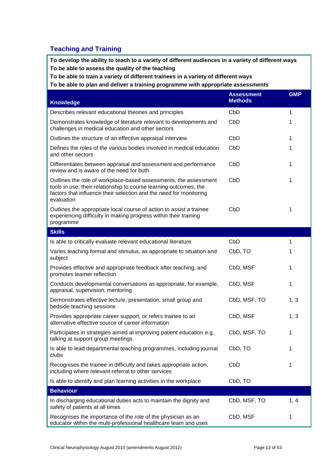## <span id="page-12-0"></span>**Teaching and Training**

**To develop the ability to teach to a variety of different audiences in a variety of different ways To be able to assess the quality of the teaching**

**To be able to train a variety of different trainees in a variety of different ways**

**To be able to plan and deliver a training programme with appropriate assessments**

| <b>Knowledge</b>                                                                                                                                                                                                          | <b>Assessment</b><br><b>Methods</b> | <b>GMP</b> |
|---------------------------------------------------------------------------------------------------------------------------------------------------------------------------------------------------------------------------|-------------------------------------|------------|
| Describes relevant educational theories and principles                                                                                                                                                                    | CbD                                 | 1          |
| Demonstrates knowledge of literature relevant to developments and<br>challenges in medical education and other sectors                                                                                                    | CbD                                 | 1          |
| Outlines the structure of an effective appraisal interview                                                                                                                                                                | CbD                                 | 1          |
| Defines the roles of the various bodies involved in medical education<br>and other sectors                                                                                                                                | CbD                                 | 1          |
| Differentiates between appraisal and assessment and performance<br>review and is aware of the need for both                                                                                                               | CbD                                 | 1          |
| Outlines the role of workplace-based assessments, the assessment<br>tools in use, their relationship to course learning outcomes, the<br>factors that influence their selection and the need for monitoring<br>evaluation | CbD                                 | 1          |
| Outlines the appropriate local course of action to assist a trainee<br>experiencing difficulty in making progress within their training<br>programme                                                                      | CbD                                 | 1          |
| <b>Skills</b>                                                                                                                                                                                                             |                                     |            |
| Is able to critically evaluate relevant educational literature                                                                                                                                                            | CbD                                 | 1          |
| Varies teaching format and stimulus, as appropriate to situation and<br>subject                                                                                                                                           | CbD, TO                             | 1          |
| Provides effective and appropriate feedback after teaching, and<br>promotes learner reflection                                                                                                                            | CbD, MSF                            | 1          |
| Conducts developmental conversations as appropriate, for example,<br>appraisal, supervision, mentoring                                                                                                                    | CbD, MSF                            | 1          |
| Demonstrates effective lecture, presentation, small group and<br>bedside teaching sessions                                                                                                                                | CbD, MSF, TO                        | 1, 3       |
| Provides appropriate career support, or refers trainee to an<br>alternative effective source of career information                                                                                                        | CbD, MSF                            | 1, 3       |
| Participates in strategies aimed at improving patient education e.g.<br>talking at support group meetings                                                                                                                 | CbD, MSF, TO                        | 1          |
| Is able to lead departmental teaching programmes, including journal<br>clubs                                                                                                                                              | CbD, TO                             | 1          |
| Recognises the trainee in difficulty and takes appropriate action,<br>including where relevant referral to other services                                                                                                 | CbD                                 | 1          |
| Is able to identify and plan learning activities in the workplace                                                                                                                                                         | CbD, TO                             |            |
| <b>Behaviour</b>                                                                                                                                                                                                          |                                     |            |
| In discharging educational duties acts to maintain the dignity and<br>safety of patients at all times                                                                                                                     | CbD, MSF, TO                        | 1, 4       |
| Recognises the importance of the role of the physician as an<br>educator within the multi-professional healthcare team and uses                                                                                           | CbD, MSF                            | 1          |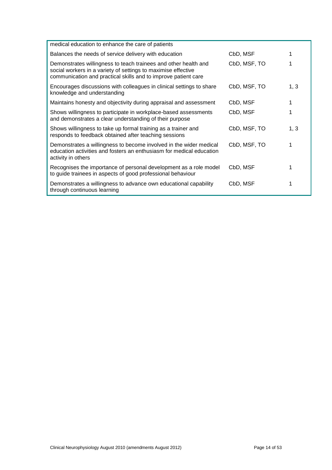| medical education to enhance the care of patients                                                                                                                                                  |              |      |
|----------------------------------------------------------------------------------------------------------------------------------------------------------------------------------------------------|--------------|------|
| Balances the needs of service delivery with education                                                                                                                                              | CbD, MSF     |      |
| Demonstrates willingness to teach trainees and other health and<br>social workers in a variety of settings to maximise effective<br>communication and practical skills and to improve patient care | CbD, MSF, TO |      |
| Encourages discussions with colleagues in clinical settings to share<br>knowledge and understanding                                                                                                | CbD, MSF, TO | 1, 3 |
| Maintains honesty and objectivity during appraisal and assessment                                                                                                                                  | CbD, MSF     | 1    |
| Shows willingness to participate in workplace-based assessments<br>and demonstrates a clear understanding of their purpose                                                                         | CbD, MSF     |      |
| Shows willingness to take up formal training as a trainer and<br>responds to feedback obtained after teaching sessions                                                                             | CbD, MSF, TO | 1, 3 |
| Demonstrates a willingness to become involved in the wider medical<br>education activities and fosters an enthusiasm for medical education<br>activity in others                                   | CbD, MSF, TO | 1    |
| Recognises the importance of personal development as a role model<br>to guide trainees in aspects of good professional behaviour                                                                   | CbD, MSF     | 1    |
| Demonstrates a willingness to advance own educational capability<br>through continuous learning                                                                                                    | CbD, MSF     | 1    |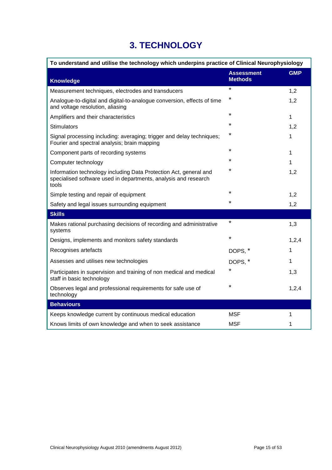# **3. TECHNOLOGY**

<span id="page-14-0"></span>

| To understand and utilise the technology which underpins practice of Clinical Neurophysiology                                                 |                                     |            |  |
|-----------------------------------------------------------------------------------------------------------------------------------------------|-------------------------------------|------------|--|
| <b>Knowledge</b>                                                                                                                              | <b>Assessment</b><br><b>Methods</b> | <b>GMP</b> |  |
| Measurement techniques, electrodes and transducers                                                                                            | $\star$                             | 1,2        |  |
| Analogue-to-digital and digital-to-analogue conversion, effects of time<br>and voltage resolution, aliasing                                   | $\star$                             | 1,2        |  |
| Amplifiers and their characteristics                                                                                                          | $\star$                             | 1          |  |
| Stimulators                                                                                                                                   | $\star$                             | 1,2        |  |
| Signal processing including: averaging; trigger and delay techniques;<br>Fourier and spectral analysis; brain mapping                         | $\star$                             | 1          |  |
| Component parts of recording systems                                                                                                          | $\star$                             | 1          |  |
| Computer technology                                                                                                                           | $\star$                             | 1          |  |
| Information technology including Data Protection Act, general and<br>specialised software used in departments, analysis and research<br>tools | $\star$                             | 1,2        |  |
| Simple testing and repair of equipment                                                                                                        | $\star$                             | 1,2        |  |
| Safety and legal issues surrounding equipment                                                                                                 | $\star$                             | 1,2        |  |
| <b>Skills</b>                                                                                                                                 |                                     |            |  |
| Makes rational purchasing decisions of recording and administrative<br>systems                                                                | $\star$                             | 1,3        |  |
| Designs, implements and monitors safety standards                                                                                             | $\star$                             | 1,2,4      |  |
| Recognises artefacts                                                                                                                          | DOPS, *                             | 1          |  |
| Assesses and utilises new technologies                                                                                                        | DOPS, *                             | 1          |  |
| Participates in supervision and training of non medical and medical<br>staff in basic technology                                              | *                                   | 1,3        |  |
| Observes legal and professional requirements for safe use of<br>technology                                                                    | $\star$                             | 1,2,4      |  |
| <b>Behaviours</b>                                                                                                                             |                                     |            |  |
| Keeps knowledge current by continuous medical education                                                                                       | <b>MSF</b>                          | 1          |  |
| Knows limits of own knowledge and when to seek assistance                                                                                     | <b>MSF</b>                          | 1          |  |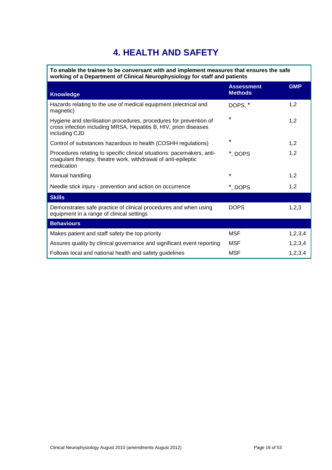# **4. HEALTH AND SAFETY**

<span id="page-15-0"></span>**To enable the trainee to be conversant with and implement measures that ensures the safe working of a Department of Clinical Neurophysiology for staff and patients**

| <b>Knowledge</b>                                                                                                                                        | <b>Assessment</b><br><b>Methods</b> | <b>GMP</b> |
|---------------------------------------------------------------------------------------------------------------------------------------------------------|-------------------------------------|------------|
| Hazards relating to the use of medical equipment (electrical and<br>magnetic)                                                                           | DOPS, *                             | 1,2        |
| Hygiene and sterilisation procedures, procedures for prevention of<br>cross infection including MRSA, Hepatitis B, HIV, prion diseases<br>including CJD | $\star$                             | 1,2        |
| Control of substances hazardous to health (COSHH regulations)                                                                                           | $\star$                             | 1,2        |
| Procedures relating to specific clinical situations: pacemakers, anti-<br>coagulant therapy, theatre work, withdrawal of anti-epileptic<br>medication   | *, DOPS                             | 1,2        |
| Manual handling                                                                                                                                         | $\star$                             | 1,2        |
| Needle stick injury - prevention and action on occurrence                                                                                               | *, DOPS                             | 1,2        |
| <b>Skills</b>                                                                                                                                           |                                     |            |
| Demonstrates safe practice of clinical procedures and when using<br>equipment in a range of clinical settings                                           | <b>DOPS</b>                         | 1,2,3      |
| <b>Behaviours</b>                                                                                                                                       |                                     |            |
| Makes patient and staff safety the top priority                                                                                                         | MSF                                 | 1,2,3,4    |
| Assures quality by clinical governance and significant event reporting                                                                                  | <b>MSF</b>                          | 1,2,3,4    |
| Follows local and national health and safety guidelines                                                                                                 | <b>MSF</b>                          | 1,2,3,4    |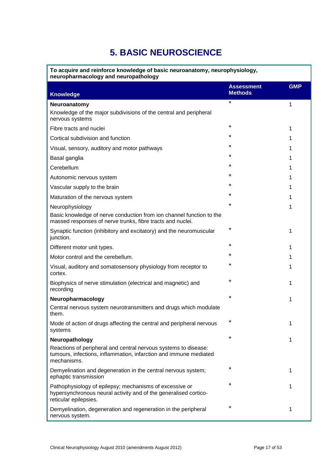# **5. BASIC NEUROSCIENCE**

<span id="page-16-0"></span>**To acquire and reinforce knowledge of basic neuroanatomy, neurophysiology, neuropharmacology and neuropathology** 

| <b>Knowledge</b>                                                                                                                                     | <b>Assessment</b><br><b>Methods</b> | <b>GMP</b> |
|------------------------------------------------------------------------------------------------------------------------------------------------------|-------------------------------------|------------|
| Neuroanatomy                                                                                                                                         | $\star$                             | 1          |
| Knowledge of the major subdivisions of the central and peripheral<br>nervous systems                                                                 |                                     |            |
| Fibre tracts and nuclei                                                                                                                              | *                                   | 1          |
| Cortical subdivision and function                                                                                                                    | ¥                                   |            |
| Visual, sensory, auditory and motor pathways                                                                                                         | *                                   |            |
| Basal ganglia                                                                                                                                        | ¥                                   | 1          |
| Cerebellum                                                                                                                                           | ¥                                   |            |
| Autonomic nervous system                                                                                                                             | *                                   |            |
| Vascular supply to the brain                                                                                                                         | *                                   |            |
| Maturation of the nervous system                                                                                                                     | *                                   |            |
| Neurophysiology                                                                                                                                      | $\star$                             |            |
| Basic knowledge of nerve conduction from ion channel function to the<br>massed responses of nerve trunks, fibre tracts and nuclei.                   |                                     |            |
| Synaptic function (inhibitory and excitatory) and the neuromuscular<br>junction.                                                                     | *                                   | 1          |
| Different motor unit types.                                                                                                                          | ¥                                   |            |
| Motor control and the cerebellum.                                                                                                                    | *                                   |            |
| Visual, auditory and somatosensory physiology from receptor to<br>cortex.                                                                            | *                                   |            |
| Biophysics of nerve stimulation (electrical and magnetic) and<br>recording                                                                           |                                     |            |
| Neuropharmacology                                                                                                                                    | ¥                                   | 1          |
| Central nervous system neurotransmitters and drugs which modulate<br>them.                                                                           |                                     |            |
| Mode of action of drugs affecting the central and peripheral nervous<br>systems                                                                      | *                                   |            |
| Neuropathology                                                                                                                                       | *                                   | 1          |
| Reactions of peripheral and central nervous systems to disease:<br>tumours, infections, inflammation, infarction and immune mediated<br>mechanisms.  |                                     |            |
| Demyelination and degeneration in the central nervous system;<br>ephaptic transmission                                                               | *                                   | 1          |
| Pathophysiology of epilepsy; mechanisms of excessive or<br>hypersynchronous neural activity and of the generalised cortico-<br>reticular epilepsies. | *                                   | 1          |
| Demyelination, degeneration and regeneration in the peripheral<br>nervous system.                                                                    | *                                   | 1          |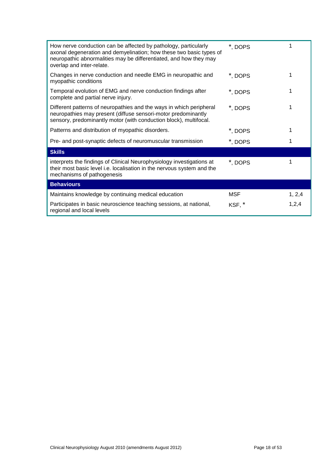| How nerve conduction can be affected by pathology, particularly<br>axonal degeneration and demyelination; how these two basic types of<br>neuropathic abnormalities may be differentiated, and how they may<br>overlap and inter-relate. | *, DOPS    |         |
|------------------------------------------------------------------------------------------------------------------------------------------------------------------------------------------------------------------------------------------|------------|---------|
| Changes in nerve conduction and needle EMG in neuropathic and<br>myopathic conditions                                                                                                                                                    | *, DOPS    |         |
| Temporal evolution of EMG and nerve conduction findings after<br>complete and partial nerve injury.                                                                                                                                      | *, DOPS    | 1       |
| Different patterns of neuropathies and the ways in which peripheral<br>neuropathies may present (diffuse sensori-motor predominantly<br>sensory, predominantly motor (with conduction block), multifocal.                                | *, DOPS    |         |
| Patterns and distribution of myopathic disorders.                                                                                                                                                                                        | *, DOPS    | 1       |
| Pre- and post-synaptic defects of neuromuscular transmission                                                                                                                                                                             | *, DOPS    |         |
| <b>Skills</b>                                                                                                                                                                                                                            |            |         |
| interprets the findings of Clinical Neurophysiology investigations at<br>their most basic level i.e. localisation in the nervous system and the<br>mechanisms of pathogenesis                                                            | *, DOPS    | 1       |
| <b>Behaviours</b>                                                                                                                                                                                                                        |            |         |
| Maintains knowledge by continuing medical education                                                                                                                                                                                      | <b>MSF</b> | 1, 2, 4 |
| Participates in basic neuroscience teaching sessions, at national,<br>regional and local levels                                                                                                                                          | KSF, *     | 1,2,4   |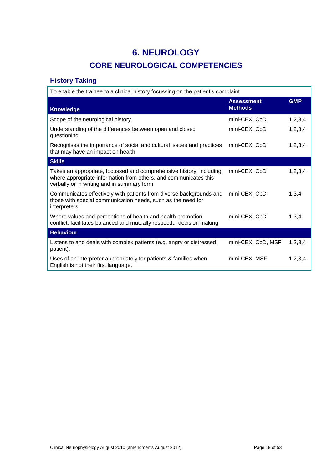# **6. NEUROLOGY**

# **CORE NEUROLOGICAL COMPETENCIES**

# <span id="page-18-1"></span><span id="page-18-0"></span>**History Taking**

| To enable the trainee to a clinical history focussing on the patient's complaint                                                                                                       |                                     |            |
|----------------------------------------------------------------------------------------------------------------------------------------------------------------------------------------|-------------------------------------|------------|
| <b>Knowledge</b>                                                                                                                                                                       | <b>Assessment</b><br><b>Methods</b> | <b>GMP</b> |
| Scope of the neurological history.                                                                                                                                                     | mini-CEX, CbD                       | 1,2,3,4    |
| Understanding of the differences between open and closed<br>questioning                                                                                                                | mini-CEX, CbD                       | 1,2,3,4    |
| Recognises the importance of social and cultural issues and practices<br>that may have an impact on health                                                                             | mini-CEX, CbD                       | 1,2,3,4    |
| <b>Skills</b>                                                                                                                                                                          |                                     |            |
| Takes an appropriate, focussed and comprehensive history, including<br>where appropriate information from others, and communicates this<br>verbally or in writing and in summary form. | mini-CEX, CbD                       | 1,2,3,4    |
| Communicates effectively with patients from diverse backgrounds and<br>those with special communication needs, such as the need for<br>interpreters                                    | mini-CEX, CbD                       | 1,3,4      |
| Where values and perceptions of health and health promotion<br>conflict, facilitates balanced and mutually respectful decision making                                                  | mini-CEX, CbD                       | 1,3,4      |
| <b>Behaviour</b>                                                                                                                                                                       |                                     |            |
| Listens to and deals with complex patients (e.g. angry or distressed<br>patient).                                                                                                      | mini-CEX, CbD, MSF                  | 1,2,3,4    |
| Uses of an interpreter appropriately for patients & families when<br>English is not their first language.                                                                              | mini-CEX, MSF                       | 1,2,3,4    |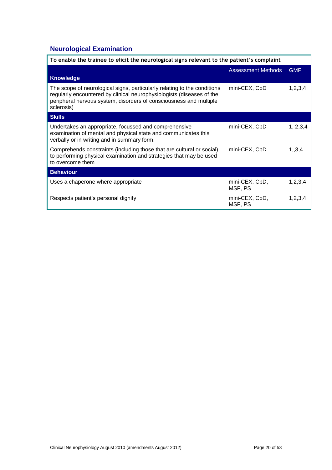# <span id="page-19-0"></span>**Neurological Examination**

| To enable the trainee to elicit the neurological signs relevant to the patient's complaint                                                                                                                                            |                           |            |
|---------------------------------------------------------------------------------------------------------------------------------------------------------------------------------------------------------------------------------------|---------------------------|------------|
| <b>Knowledge</b>                                                                                                                                                                                                                      | <b>Assessment Methods</b> | <b>GMP</b> |
| The scope of neurological signs, particularly relating to the conditions<br>regularly encountered by clinical neurophysiologists (diseases of the<br>peripheral nervous system, disorders of consciousness and multiple<br>sclerosis) | mini-CEX, CbD             | 1,2,3,4    |
| <b>Skills</b>                                                                                                                                                                                                                         |                           |            |
| Undertakes an appropriate, focussed and comprehensive<br>examination of mental and physical state and communicates this<br>verbally or in writing and in summary form.                                                                | mini-CEX, CbD             | 1, 2, 3, 4 |
| Comprehends constraints (including those that are cultural or social)<br>to performing physical examination and strategies that may be used<br>to overcome them                                                                       | mini-CEX, CbD             | 1, 3, 4    |
| <b>Behaviour</b>                                                                                                                                                                                                                      |                           |            |
| Uses a chaperone where appropriate                                                                                                                                                                                                    | mini-CEX, CbD,<br>MSF, PS | 1,2,3,4    |
| Respects patient's personal dignity                                                                                                                                                                                                   | mini-CEX, CbD,<br>MSF, PS | 1, 2, 3, 4 |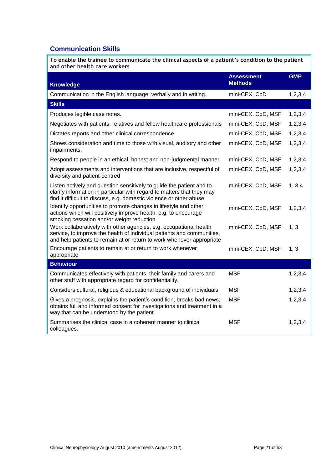# <span id="page-20-0"></span>**Communication Skills**

| To enable the trainee to communicate the clinical aspects of a patient's condition to the patient<br>and other health care workers                                                                                    |                                     |            |
|-----------------------------------------------------------------------------------------------------------------------------------------------------------------------------------------------------------------------|-------------------------------------|------------|
| <b>Knowledge</b>                                                                                                                                                                                                      | <b>Assessment</b><br><b>Methods</b> | <b>GMP</b> |
| Communication in the English language, verbally and in writing.                                                                                                                                                       | mini-CEX, CbD                       | 1,2,3,4    |
| <b>Skills</b>                                                                                                                                                                                                         |                                     |            |
| Produces legible case notes.                                                                                                                                                                                          | mini-CEX, CbD, MSF                  | 1, 2, 3, 4 |
| Negotiates with patients, relatives and fellow healthcare professionals                                                                                                                                               | mini-CEX, CbD, MSF                  | 1, 2, 3, 4 |
| Dictates reports and other clinical correspondence                                                                                                                                                                    | mini-CEX, CbD, MSF                  | 1, 2, 3, 4 |
| Shows consideration and time to those with visual, auditory and other<br>impairments.                                                                                                                                 | mini-CEX, CbD, MSF                  | 1,2,3,4    |
| Respond to people in an ethical, honest and non-judgmental manner                                                                                                                                                     | mini-CEX, CbD, MSF                  | 1,2,3,4    |
| Adopt assessments and interventions that are inclusive, respectful of<br>diversity and patient-centred                                                                                                                | mini-CEX, CbD, MSF                  | 1, 2, 3, 4 |
| Listen actively and question sensitively to guide the patient and to<br>clarify information in particular with regard to matters that they may<br>find it difficult to discuss, e.g. domestic violence or other abuse | mini-CEX, CbD, MSF                  | 1, 3, 4    |
| Identify opportunities to promote changes in lifestyle and other<br>actions which will positively improve health, e.g. to encourage<br>smoking cessation and/or weight reduction                                      | mini-CEX, CbD, MSF                  | 1, 2, 3, 4 |
| Work collaboratively with other agencies, e.g. occupational health<br>service, to improve the health of individual patients and communities,<br>and help patients to remain at or return to work whenever appropriate | mini-CEX, CbD, MSF                  | 1, 3       |
| Encourage patients to remain at or return to work whenever<br>appropriate                                                                                                                                             | mini-CEX, CbD, MSF                  | 1, 3       |
| <b>Behaviour</b>                                                                                                                                                                                                      |                                     |            |
| Communicates effectively with patients, their family and carers and<br>other staff with appropriate regard for confidentiality.                                                                                       | <b>MSF</b>                          | 1,2,3,4    |
| Considers cultural, religious & educational background of individuals                                                                                                                                                 | <b>MSF</b>                          | 1,2,3,4    |
| Gives a prognosis, explains the patient's condition, breaks bad news,<br>obtains full and informed consent for investigations and treatment in a<br>way that can be understood by the patient.                        | <b>MSF</b>                          | 1, 2, 3, 4 |
| Summarises the clinical case in a coherent manner to clinical<br>colleagues.                                                                                                                                          | <b>MSF</b>                          | 1,2,3,4    |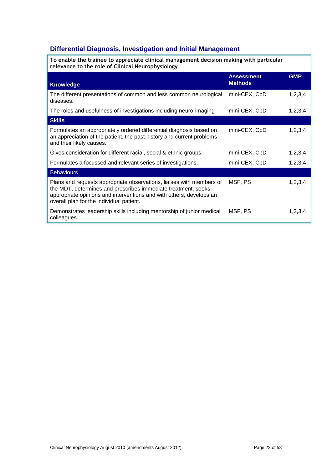# <span id="page-21-0"></span>**Differential Diagnosis, Investigation and Initial Management**

| To enable the trainee to appreciate clinical management decision making with particular<br>relevance to the role of Clinical Neurophysiology                                                                                                             |                                     |            |  |
|----------------------------------------------------------------------------------------------------------------------------------------------------------------------------------------------------------------------------------------------------------|-------------------------------------|------------|--|
| <b>Knowledge</b>                                                                                                                                                                                                                                         | <b>Assessment</b><br><b>Methods</b> | <b>GMP</b> |  |
| The different presentations of common and less common neurological<br>diseases.                                                                                                                                                                          | mini-CEX, CbD                       | 1, 2, 3, 4 |  |
| The roles and usefulness of investigations including neuro-imaging                                                                                                                                                                                       | mini-CEX, CbD                       | 1,2,3,4    |  |
| <b>Skills</b>                                                                                                                                                                                                                                            |                                     |            |  |
| Formulates an appropriately ordered differential diagnosis based on<br>an appreciation of the patient, the past history and current problems<br>and their likely causes.                                                                                 | mini-CEX, CbD                       | 1,2,3,4    |  |
| Gives consideration for different racial, social & ethnic groups.                                                                                                                                                                                        | mini-CEX, CbD                       | 1,2,3,4    |  |
| Formulates a focussed and relevant series of investigations.                                                                                                                                                                                             | mini-CEX, CbD                       | 1,2,3,4    |  |
| <b>Behaviours</b>                                                                                                                                                                                                                                        |                                     |            |  |
| Plans and requests appropriate observations, liaises with members of<br>the MDT, determines and prescribes immediate treatment, seeks<br>appropriate opinions and interventions and with others, develops an<br>overall plan for the individual patient. | MSF, PS                             | 1,2,3,4    |  |
| Demonstrates leadership skills including mentorship of junior medical<br>colleagues.                                                                                                                                                                     | MSF, PS                             | 1,2,3,4    |  |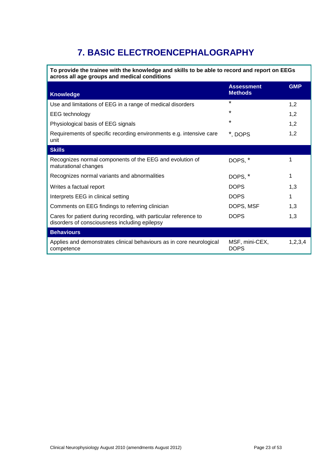# **7. BASIC ELECTROENCEPHALOGRAPHY**

<span id="page-22-0"></span>**To provide the trainee with the knowledge and skills to be able to record and report on EEGs across all age groups and medical conditions**

| <b>Knowledge</b>                                                                                                  | <b>Assessment</b><br><b>Methods</b> | <b>GMP</b> |
|-------------------------------------------------------------------------------------------------------------------|-------------------------------------|------------|
| Use and limitations of EEG in a range of medical disorders                                                        | $\star$                             | 1,2        |
| <b>EEG</b> technology                                                                                             | $\star$                             | 1,2        |
| Physiological basis of EEG signals                                                                                | $\star$                             | 1,2        |
| Requirements of specific recording environments e.g. intensive care<br>unit                                       | *, DOPS                             | 1,2        |
| <b>Skills</b>                                                                                                     |                                     |            |
| Recognizes normal components of the EEG and evolution of<br>maturational changes                                  | DOPS, *                             |            |
| Recognizes normal variants and abnormalities                                                                      | DOPS, *                             |            |
| Writes a factual report                                                                                           | <b>DOPS</b>                         | 1,3        |
| Interprets EEG in clinical setting                                                                                | <b>DOPS</b>                         |            |
| Comments on EEG findings to referring clinician                                                                   | DOPS, MSF                           | 1,3        |
| Cares for patient during recording, with particular reference to<br>disorders of consciousness including epilepsy | <b>DOPS</b>                         | 1,3        |
| <b>Behaviours</b>                                                                                                 |                                     |            |
| Applies and demonstrates clinical behaviours as in core neurological<br>competence                                | MSF, mini-CEX,<br><b>DOPS</b>       | 1,2,3,4    |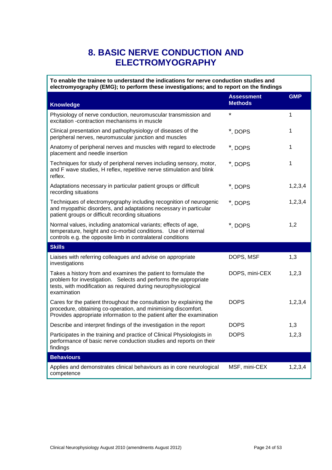# **8. BASIC NERVE CONDUCTION AND ELECTROMYOGRAPHY**

<span id="page-23-0"></span>

| To enable the trainee to understand the indications for nerve conduction studies and<br>electromyography (EMG); to perform these investigations; and to report on the findings                                     |                                     |            |  |
|--------------------------------------------------------------------------------------------------------------------------------------------------------------------------------------------------------------------|-------------------------------------|------------|--|
| <b>Knowledge</b>                                                                                                                                                                                                   | <b>Assessment</b><br><b>Methods</b> | <b>GMP</b> |  |
| Physiology of nerve conduction, neuromuscular transmission and<br>excitation -contraction mechanisms in muscle                                                                                                     | $\star$                             | 1          |  |
| Clinical presentation and pathophysiology of diseases of the<br>peripheral nerves, neuromuscular junction and muscles                                                                                              | *, DOPS                             | 1          |  |
| Anatomy of peripheral nerves and muscles with regard to electrode<br>placement and needle insertion                                                                                                                | *, DOPS                             | 1          |  |
| Techniques for study of peripheral nerves including sensory, motor,<br>and F wave studies, H reflex, repetitive nerve stimulation and blink<br>reflex.                                                             | *, DOPS                             | 1          |  |
| Adaptations necessary in particular patient groups or difficult<br>recording situations                                                                                                                            | *, DOPS                             | 1,2,3,4    |  |
| Techniques of electromyography including recognition of neurogenic<br>and myopathic disorders, and adaptations necessary in particular<br>patient groups or difficult recording situations                         | *, DOPS                             | 1,2,3,4    |  |
| Normal values, including anatomical variants; effects of age,<br>temperature, height and co-morbid conditions. Use of internal<br>controls e.g. the opposite limb in contralateral conditions                      | *, DOPS                             | 1,2        |  |
| <b>Skills</b>                                                                                                                                                                                                      |                                     |            |  |
| Liaises with referring colleagues and advise on appropriate<br>investigations                                                                                                                                      | DOPS, MSF                           | 1,3        |  |
| Takes a history from and examines the patient to formulate the<br>problem for investigation. Selects and performs the appropriate<br>tests, with modification as required during neurophysiological<br>examination | DOPS, mini-CEX                      | 1,2,3      |  |
| Cares for the patient throughout the consultation by explaining the<br>procedure, obtaining co-operation, and minimising discomfort.<br>Provides appropriate information to the patient after the examination      | <b>DOPS</b>                         | 1,2,3,4    |  |
| Describe and interpret findings of the investigation in the report                                                                                                                                                 | <b>DOPS</b>                         | 1,3        |  |
| Participates in the training and practice of Clinical Physiologists in<br>performance of basic nerve conduction studies and reports on their<br>findings                                                           | <b>DOPS</b>                         | 1,2,3      |  |
| <b>Behaviours</b>                                                                                                                                                                                                  |                                     |            |  |
| Applies and demonstrates clinical behaviours as in core neurological<br>competence                                                                                                                                 | MSF, mini-CEX                       | 1,2,3,4    |  |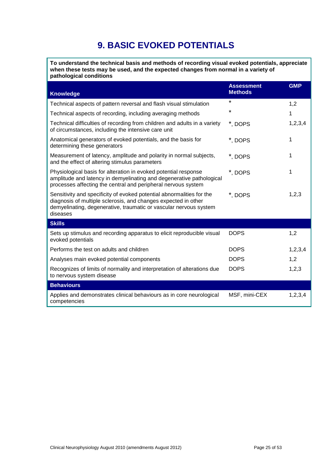# **9. BASIC EVOKED POTENTIALS**

<span id="page-24-0"></span>**To understand the technical basis and methods of recording visual evoked potentials, appreciate when these tests may be used, and the expected changes from normal in a variety of pathological conditions**

| <b>Knowledge</b>                                                                                                                                                                                                         | <b>Assessment</b><br><b>Methods</b> | <b>GMP</b> |
|--------------------------------------------------------------------------------------------------------------------------------------------------------------------------------------------------------------------------|-------------------------------------|------------|
| Technical aspects of pattern reversal and flash visual stimulation                                                                                                                                                       | $\star$                             | 1,2        |
| Technical aspects of recording, including averaging methods                                                                                                                                                              | $\star$                             | 1          |
| Technical difficulties of recording from children and adults in a variety<br>of circumstances, including the intensive care unit                                                                                         | *, DOPS                             | 1,2,3,4    |
| Anatomical generators of evoked potentials, and the basis for<br>determining these generators                                                                                                                            | *, DOPS                             | 1          |
| Measurement of latency, amplitude and polarity in normal subjects,<br>and the effect of altering stimulus parameters                                                                                                     | *, DOPS                             | 1          |
| Physiological basis for alteration in evoked potential response<br>amplitude and latency in demyelinating and degenerative pathological<br>processes affecting the central and peripheral nervous system                 | *, DOPS                             | 1          |
| Sensitivity and specificity of evoked potential abnormalities for the<br>diagnosis of multiple sclerosis, and changes expected in other<br>demyelinating, degenerative, traumatic or vascular nervous system<br>diseases | *, DOPS                             | 1,2,3      |
| <b>Skills</b>                                                                                                                                                                                                            |                                     |            |
| Sets up stimulus and recording apparatus to elicit reproducible visual<br>evoked potentials                                                                                                                              | <b>DOPS</b>                         | 1,2        |
| Performs the test on adults and children                                                                                                                                                                                 | <b>DOPS</b>                         | 1,2,3,4    |
| Analyses main evoked potential components                                                                                                                                                                                | <b>DOPS</b>                         | 1,2        |
| Recognizes of limits of normality and interpretation of alterations due<br>to nervous system disease                                                                                                                     | <b>DOPS</b>                         | 1,2,3      |
| <b>Behaviours</b>                                                                                                                                                                                                        |                                     |            |
| Applies and demonstrates clinical behaviours as in core neurological<br>competencies                                                                                                                                     | MSF, mini-CEX                       | 1,2,3,4    |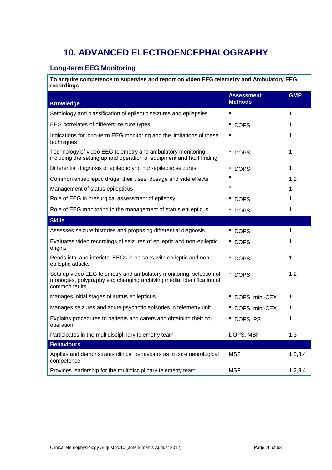# <span id="page-25-0"></span>**10. ADVANCED ELECTROENCEPHALOGRAPHY**

## <span id="page-25-1"></span>**Long-term EEG Monitoring**

**To acquire competence to supervise and report on video EEG telemetry and Ambulatory EEG recordings**

| <b>Knowledge</b>                                                                                                                                              | <b>Assessment</b><br><b>Methods</b> | <b>GMP</b> |
|---------------------------------------------------------------------------------------------------------------------------------------------------------------|-------------------------------------|------------|
| Semiology and classification of epileptic seizures and epilepsies                                                                                             | *                                   | 1          |
| EEG correlates of different seizure types                                                                                                                     | *, DOPS                             | 1          |
| Indications for long-term EEG monitoring and the limitations of these<br>techniques                                                                           | *                                   | 1          |
| Technology of video EEG telemetry and ambulatory monitoring,<br>including the setting up and operation of equipment and fault finding                         | *, DOPS                             | 1          |
| Differential diagnosis of epileptic and non-epileptic seizures                                                                                                | *, DOPS                             | 1          |
| Common antiepileptic drugs, their uses, dosage and side effects                                                                                               | $\star$                             | 1,2        |
| Management of status epilepticus                                                                                                                              | $\star$                             | 1          |
| Role of EEG in presurgical assessment of epilepsy                                                                                                             | *, DOPS                             | 1          |
| Role of EEG monitoring in the management of status epilepticus                                                                                                | *, DOPS                             | 1          |
| <b>Skills</b>                                                                                                                                                 |                                     |            |
| Assesses seizure histories and proposing differential diagnosis                                                                                               | *, DOPS                             | 1          |
| Evaluates video recordings of seizures of epileptic and non-epileptic<br>origins                                                                              | *, DOPS                             | 1          |
| Reads ictal and interictal EEGs in persons with epileptic and non-<br>epileptic attacks                                                                       | *, DOPS                             | 1          |
| Sets up video EEG telemetry and ambulatory monitoring, selection of<br>montages, polygraphy etc; changing archiving media; identification of<br>common faults | *, DOPS                             | 1,2        |
| Manages initial stages of status epilepticus                                                                                                                  | *, DOPS, mini-CEX                   | 1          |
| Manages seizures and acute psychotic episodes in telemetry unit                                                                                               | *, DOPS, mini-CEX                   | 1          |
| Explains procedures to patients and carers and obtaining their co-<br>operation                                                                               | *, DOPS, PS                         | 1          |
| Participates in the multidisciplinary telemetry team                                                                                                          | DOPS, MSF                           | 1,3        |
| <b>Behaviours</b>                                                                                                                                             |                                     |            |
| Applies and demonstrates clinical behaviours as in core neurological<br>competence                                                                            | <b>MSF</b>                          | 1,2,3,4    |
| Provides leadership for the multidisciplinary telemetry team                                                                                                  | <b>MSF</b>                          | 1,2,3,4    |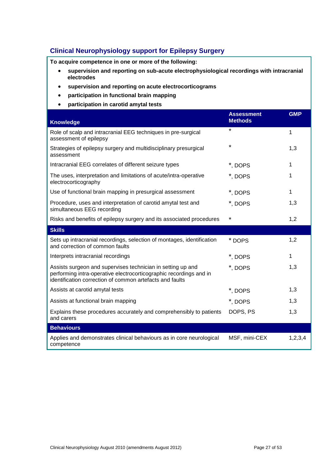# <span id="page-26-0"></span>**Clinical Neurophysiology support for Epilepsy Surgery**

**To acquire competence in one or more of the following:**

- **supervision and reporting on sub-acute electrophysiological recordings with intracranial electrodes**
- **supervision and reporting on acute electrocorticograms**
- **participation in functional brain mapping**
- **participation in carotid amytal tests**

| <b>Knowledge</b>                                                                                                                                                                              | <b>Assessment</b><br><b>Methods</b> | <b>GMP</b> |
|-----------------------------------------------------------------------------------------------------------------------------------------------------------------------------------------------|-------------------------------------|------------|
| Role of scalp and intracranial EEG techniques in pre-surgical<br>assessment of epilepsy                                                                                                       | $\star$                             | 1          |
| Strategies of epilepsy surgery and multidisciplinary presurgical<br>assessment                                                                                                                | $\star$                             | 1,3        |
| Intracranial EEG correlates of different seizure types                                                                                                                                        | *, DOPS                             | 1          |
| The uses, interpretation and limitations of acute/intra-operative<br>electrocorticography                                                                                                     | *, DOPS                             | 1          |
| Use of functional brain mapping in presurgical assessment                                                                                                                                     | *, DOPS                             | 1          |
| Procedure, uses and interpretation of carotid amytal test and<br>simultaneous EEG recording                                                                                                   | *, DOPS                             | 1,3        |
| Risks and benefits of epilepsy surgery and its associated procedures                                                                                                                          | *                                   | 1,2        |
| <b>Skills</b>                                                                                                                                                                                 |                                     |            |
| Sets up intracranial recordings, selection of montages, identification<br>and correction of common faults                                                                                     | * DOPS                              | 1,2        |
| Interprets intracranial recordings                                                                                                                                                            | *, DOPS                             | 1          |
| Assists surgeon and supervises technician in setting up and<br>performing intra-operative electrocorticographic recordings and in<br>identification correction of common artefacts and faults | *, DOPS                             | 1,3        |
| Assists at carotid amytal tests                                                                                                                                                               | *, DOPS                             | 1,3        |
| Assists at functional brain mapping                                                                                                                                                           | *, DOPS                             | 1,3        |
| Explains these procedures accurately and comprehensibly to patients<br>and carers                                                                                                             | DOPS, PS                            | 1,3        |
| <b>Behaviours</b>                                                                                                                                                                             |                                     |            |
| Applies and demonstrates clinical behaviours as in core neurological<br>competence                                                                                                            | MSF, mini-CEX                       | 1,2,3,4    |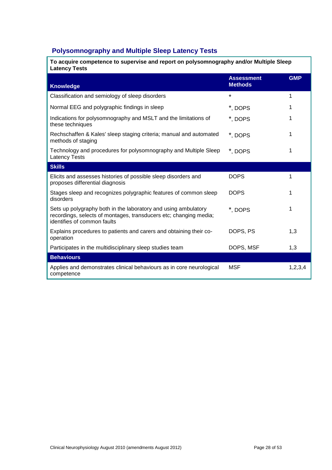# <span id="page-27-0"></span>**Polysomnography and Multiple Sleep Latency Tests**

| To acquire competence to supervise and report on polysomnography and/or Multiple Sleep<br><b>Latency Tests</b> |                                     |            |
|----------------------------------------------------------------------------------------------------------------|-------------------------------------|------------|
| Knowledge                                                                                                      | <b>Assessment</b><br><b>Methods</b> | <b>GMP</b> |
| Classification and semiology of sleep disorders                                                                | *                                   |            |

| Classification and semiology of sieep discribers                                                                                                                   |             |            |
|--------------------------------------------------------------------------------------------------------------------------------------------------------------------|-------------|------------|
| Normal EEG and polygraphic findings in sleep                                                                                                                       | *, DOPS     |            |
| Indications for polysomnography and MSLT and the limitations of<br>these techniques                                                                                | *, DOPS     |            |
| Rechschaffen & Kales' sleep staging criteria; manual and automated<br>methods of staging                                                                           | *, DOPS     | 1          |
| Technology and procedures for polysomnography and Multiple Sleep<br><b>Latency Tests</b>                                                                           | *, DOPS     | 1          |
| <b>Skills</b>                                                                                                                                                      |             |            |
| Elicits and assesses histories of possible sleep disorders and<br>proposes differential diagnosis                                                                  | <b>DOPS</b> | 1          |
| Stages sleep and recognizes polygraphic features of common sleep<br>disorders                                                                                      | <b>DOPS</b> | 1          |
| Sets up polygraphy both in the laboratory and using ambulatory<br>recordings, selects of montages, transducers etc; changing media;<br>identifies of common faults | *, DOPS     | 1          |
| Explains procedures to patients and carers and obtaining their co-<br>operation                                                                                    | DOPS, PS    | 1,3        |
| Participates in the multidisciplinary sleep studies team                                                                                                           | DOPS, MSF   | 1,3        |
| <b>Behaviours</b>                                                                                                                                                  |             |            |
| Applies and demonstrates clinical behaviours as in core neurological<br>competence                                                                                 | <b>MSF</b>  | 1, 2, 3, 4 |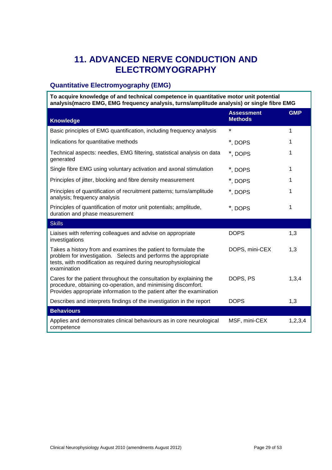# <span id="page-28-0"></span>**11. ADVANCED NERVE CONDUCTION AND ELECTROMYOGRAPHY**

## <span id="page-28-1"></span>**Quantitative Electromyography (EMG)**

**To acquire knowledge of and technical competence in quantitative motor unit potential analysis(macro EMG, EMG frequency analysis, turns/amplitude analysis) or single fibre EMG** 

| <b>Knowledge</b>                                                                                                                                                                                                   | <b>Assessment</b><br><b>Methods</b> | <b>GMP</b> |
|--------------------------------------------------------------------------------------------------------------------------------------------------------------------------------------------------------------------|-------------------------------------|------------|
| Basic principles of EMG quantification, including frequency analysis                                                                                                                                               | *                                   | 1          |
| Indications for quantitative methods                                                                                                                                                                               | *, DOPS                             | 1          |
| Technical aspects: needles, EMG filtering, statistical analysis on data<br>generated                                                                                                                               | *, DOPS                             | 1          |
| Single fibre EMG using voluntary activation and axonal stimulation                                                                                                                                                 | *, DOPS                             | 1          |
| Principles of jitter, blocking and fibre density measurement                                                                                                                                                       | *, DOPS                             | 1          |
| Principles of quantification of recruitment patterns; turns/amplitude<br>analysis; frequency analysis                                                                                                              | *, DOPS                             | 1          |
| Principles of quantification of motor unit potentials; amplitude,<br>duration and phase measurement                                                                                                                | *, DOPS                             | 1          |
| <b>Skills</b>                                                                                                                                                                                                      |                                     |            |
| Liaises with referring colleagues and advise on appropriate<br>investigations                                                                                                                                      | <b>DOPS</b>                         | 1,3        |
| Takes a history from and examines the patient to formulate the<br>problem for investigation. Selects and performs the appropriate<br>tests, with modification as required during neurophysiological<br>examination | DOPS, mini-CEX                      | 1,3        |
| Cares for the patient throughout the consultation by explaining the<br>procedure, obtaining co-operation, and minimising discomfort.<br>Provides appropriate information to the patient after the examination      | DOPS, PS                            | 1,3,4      |
| Describes and interprets findings of the investigation in the report                                                                                                                                               | <b>DOPS</b>                         | 1,3        |
| <b>Behaviours</b>                                                                                                                                                                                                  |                                     |            |
| Applies and demonstrates clinical behaviours as in core neurological<br>competence                                                                                                                                 | MSF, mini-CEX                       | 1,2,3,4    |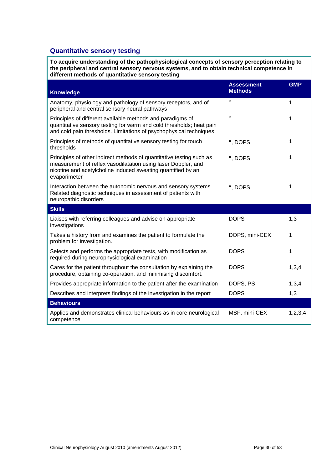## <span id="page-29-0"></span>**Quantitative sensory testing**

**To acquire understanding of the pathophysiological concepts of sensory perception relating to the peripheral and central sensory nervous systems, and to obtain technical competence in different methods of quantitative sensory testing**

| <b>Knowledge</b>                                                                                                                                                                                                      | <b>Assessment</b><br><b>Methods</b> | <b>GMP</b> |  |
|-----------------------------------------------------------------------------------------------------------------------------------------------------------------------------------------------------------------------|-------------------------------------|------------|--|
| Anatomy, physiology and pathology of sensory receptors, and of<br>peripheral and central sensory neural pathways                                                                                                      | $\star$                             | 1          |  |
| Principles of different available methods and paradigms of<br>quantitative sensory testing for warm and cold thresholds; heat pain<br>and cold pain thresholds. Limitations of psychophysical techniques              | $\star$                             | 1          |  |
| Principles of methods of quantitative sensory testing for touch<br>thresholds                                                                                                                                         | *, DOPS                             | 1          |  |
| Principles of other indirect methods of quantitative testing such as<br>measurement of reflex vasodilatation using laser Doppler, and<br>nicotine and acetylcholine induced sweating quantified by an<br>evaporimeter | *, DOPS                             | 1          |  |
| Interaction between the autonomic nervous and sensory systems.<br>Related diagnostic techniques in assessment of patients with<br>neuropathic disorders                                                               | *, DOPS                             | 1          |  |
| <b>Skills</b>                                                                                                                                                                                                         |                                     |            |  |
| Liaises with referring colleagues and advise on appropriate<br>investigations                                                                                                                                         | <b>DOPS</b>                         | 1,3        |  |
| Takes a history from and examines the patient to formulate the<br>problem for investigation.                                                                                                                          | DOPS, mini-CEX                      | 1          |  |
| Selects and performs the appropriate tests, with modification as<br>required during neurophysiological examination                                                                                                    | <b>DOPS</b>                         | 1          |  |
| Cares for the patient throughout the consultation by explaining the<br>procedure, obtaining co-operation, and minimising discomfort.                                                                                  | <b>DOPS</b>                         | 1,3,4      |  |
| Provides appropriate information to the patient after the examination                                                                                                                                                 | DOPS, PS                            | 1,3,4      |  |
| Describes and interprets findings of the investigation in the report                                                                                                                                                  | <b>DOPS</b>                         | 1,3        |  |
| <b>Behaviours</b>                                                                                                                                                                                                     |                                     |            |  |
| Applies and demonstrates clinical behaviours as in core neurological<br>competence                                                                                                                                    | MSF, mini-CEX                       | 1,2,3,4    |  |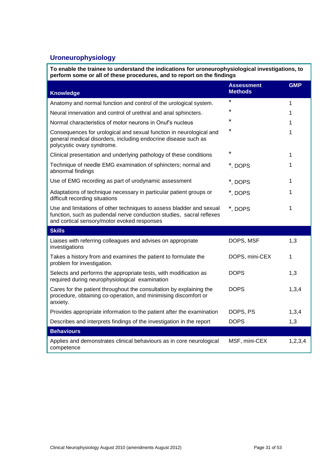# <span id="page-30-0"></span>**Uroneurophysiology**

**To enable the trainee to understand the indications for uroneurophysiological investigations, to perform some or all of these procedures, and to report on the findings**

| <b>Knowledge</b>                                                                                                                                                                            | <b>Assessment</b><br><b>Methods</b> | <b>GMP</b> |
|---------------------------------------------------------------------------------------------------------------------------------------------------------------------------------------------|-------------------------------------|------------|
| Anatomy and normal function and control of the urological system.                                                                                                                           | $\star$                             | 1          |
| Neural innervation and control of urethral and anal sphincters.                                                                                                                             | ¥                                   | 1          |
| Normal characteristics of motor neurons in Onuf's nucleus                                                                                                                                   | ¥                                   | 1          |
| Consequences for urological and sexual function in neurological and<br>general medical disorders, including endocrine disease such as<br>polycystic ovary syndrome.                         | $\star$                             | 1          |
| Clinical presentation and underlying pathology of these conditions                                                                                                                          | *                                   | 1          |
| Technique of needle EMG examination of sphincters; normal and<br>abnormal findings                                                                                                          | *, DOPS                             | 1          |
| Use of EMG recording as part of urodynamic assessment                                                                                                                                       | *, DOPS                             | 1          |
| Adaptations of technique necessary in particular patient groups or<br>difficult recording situations                                                                                        | *, DOPS                             | 1          |
| Use and limitations of other techniques to assess bladder and sexual<br>function, such as pudendal nerve conduction studies, sacral reflexes<br>and cortical sensory/motor evoked responses | *, DOPS                             | 1          |
| <b>Skills</b>                                                                                                                                                                               |                                     |            |
| Liaises with referring colleagues and advises on appropriate<br>investigations                                                                                                              | DOPS, MSF                           | 1,3        |
| Takes a history from and examines the patient to formulate the<br>problem for investigation.                                                                                                | DOPS, mini-CEX                      | 1          |
| Selects and performs the appropriate tests, with modification as<br>required during neurophysiological examination                                                                          | <b>DOPS</b>                         | 1,3        |
| Cares for the patient throughout the consultation by explaining the<br>procedure, obtaining co-operation, and minimising discomfort or<br>anxiety.                                          | <b>DOPS</b>                         | 1,3,4      |
| Provides appropriate information to the patient after the examination                                                                                                                       | DOPS, PS                            | 1,3,4      |
| Describes and interprets findings of the investigation in the report                                                                                                                        | <b>DOPS</b>                         | 1,3        |
| <b>Behaviours</b>                                                                                                                                                                           |                                     |            |
| Applies and demonstrates clinical behaviours as in core neurological<br>competence                                                                                                          | MSF, mini-CEX                       | 1,2,3,4    |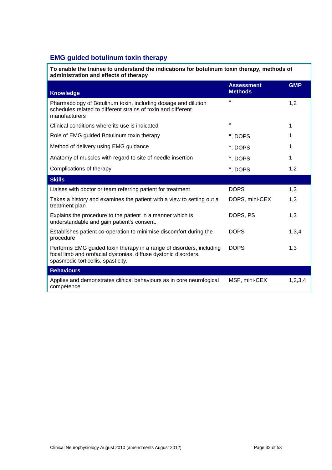## <span id="page-31-0"></span>**EMG guided botulinum toxin therapy**

**To enable the trainee to understand the indications for botulinum toxin therapy, methods of administration and effects of therapy Knowledge Assessment Methods GMP**  Pharmacology of Botulinum toxin, including dosage and dilution schedules related to different strains of toxin and different manufacturers  $\star$  1,2 Clinical conditions where its use is indicated  $\sim$  1 Role of EMG guided Botulinum toxin therapy  $\sim$  \*, DOPS 1 Method of delivery using EMG guidance  $\ddot{\hspace{1cm}}$  \*, DOPS 1 Anatomy of muscles with regard to site of needle insertion \*, DOPS 1 Complications of therapy  $\bullet$  1,2 **Skills** Liaises with doctor or team referring patient for treatment Theory COPS 1,3 Takes a history and examines the patient with a view to setting out a treatment plan DOPS, mini-CEX 1,3 Explains the procedure to the patient in a manner which is understandable and gain patient's consent. DOPS, PS 1,3 Establishes patient co-operation to minimise discomfort during the procedure DOPS 1,3,4 Performs EMG guided toxin therapy in a range of disorders, including focal limb and orofacial dystonias, diffuse dystonic disorders, spasmodic torticollis, spasticity. DOPS 1,3 **Behaviours**  Applies and demonstrates clinical behaviours as in core neurological competence MSF, mini-CEX 1,2,3,4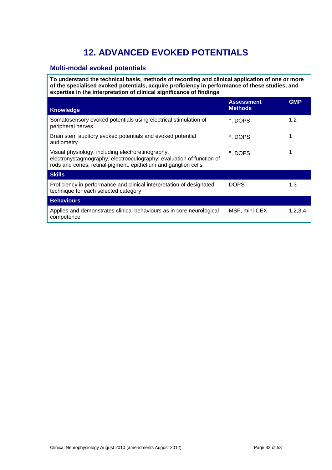# **12. ADVANCED EVOKED POTENTIALS**

## <span id="page-32-1"></span><span id="page-32-0"></span>**Multi-modal evoked potentials**

**To understand the technical basis, methods of recording and clinical application of one or more of the specialised evoked potentials, acquire proficiency in performance of these studies, and expertise in the interpretation of clinical significance of findings** 

| <b>Knowledge</b>                                                                                                                                                                            | <b>Assessment</b><br><b>Methods</b> | <b>GMP</b> |
|---------------------------------------------------------------------------------------------------------------------------------------------------------------------------------------------|-------------------------------------|------------|
| Somatosensory evoked potentials using electrical stimulation of<br>peripheral nerves                                                                                                        | *, DOPS                             | 1,2        |
| Brain stem auditory evoked potentials and evoked potential<br>audiometry                                                                                                                    | *. DOPS                             |            |
| Visual physiology, including electroretinography,<br>electronystagmography, electrooculography: evaluation of function of<br>rods and cones, retinal pigment, epithelium and ganglion cells | *, DOPS                             |            |
| <b>Skills</b>                                                                                                                                                                               |                                     |            |
| Proficiency in performance and clinical interpretation of designated<br>technique for each selected category                                                                                | <b>DOPS</b>                         | 1,3        |
| <b>Behaviours</b>                                                                                                                                                                           |                                     |            |
| Applies and demonstrates clinical behaviours as in core neurological<br>competence                                                                                                          | MSF, mini-CEX                       | 1,2,3,4    |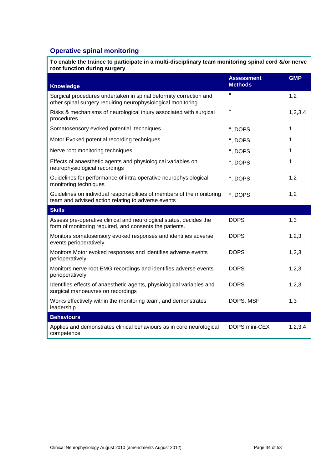## <span id="page-33-0"></span>**Operative spinal monitoring**

| To enable the trainee to participate in a multi-disciplinary team monitoring spinal cord &/or nerve<br>root function during surgery |                                     |            |  |
|-------------------------------------------------------------------------------------------------------------------------------------|-------------------------------------|------------|--|
| <b>Knowledge</b>                                                                                                                    | <b>Assessment</b><br><b>Methods</b> | <b>GMP</b> |  |
| Surgical procedures undertaken in spinal deformity correction and<br>other spinal surgery requiring neurophysiological monitoring   | $\star$                             | 1,2        |  |
| Risks & mechanisms of neurological injury associated with surgical<br>procedures                                                    | ¥                                   | 1, 2, 3, 4 |  |
| Somatosensory evoked potential techniques                                                                                           | *, DOPS                             | 1          |  |
| Motor Evoked potential recording techniques                                                                                         | *, DOPS                             | 1          |  |
| Nerve root monitoring techniques                                                                                                    | *, DOPS                             | 1.         |  |
| Effects of anaesthetic agents and physiological variables on<br>neurophysiological recordings                                       | *, DOPS                             | 1          |  |
| Guidelines for performance of intra-operative neurophysiological<br>monitoring techniques                                           | *, DOPS                             | 1,2        |  |
| Guidelines on individual responsibilities of members of the monitoring<br>team and advised action relating to adverse events        | *, DOPS                             | 1,2        |  |
| <b>Skills</b>                                                                                                                       |                                     |            |  |
| Assess pre-operative clinical and neurological status, decides the<br>form of monitoring required, and consents the patients.       | <b>DOPS</b>                         | 1,3        |  |
| Monitors somatosensory evoked responses and identifies adverse<br>events perioperatively.                                           | <b>DOPS</b>                         | 1,2,3      |  |
| Monitors Motor evoked responses and identifies adverse events<br>perioperatively.                                                   | <b>DOPS</b>                         | 1,2,3      |  |
| Monitors nerve root EMG recordings and identifies adverse events<br>perioperatively.                                                | <b>DOPS</b>                         | 1,2,3      |  |
| Identifies effects of anaesthetic agents, physiological variables and<br>surgical manoeuvres on recordings                          | <b>DOPS</b>                         | 1,2,3      |  |
| Works effectively within the monitoring team, and demonstrates<br>leadership                                                        | DOPS, MSF                           | 1,3        |  |

**Behaviours**  Applies and demonstrates clinical behaviours as in core neurological competence DOPS mini-CEX 1,2,3,4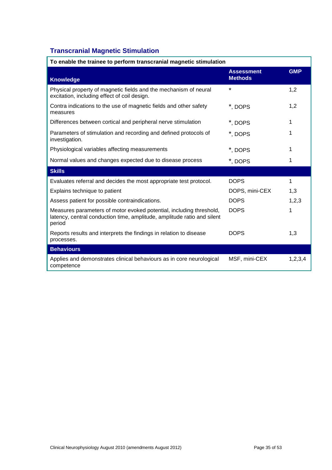# <span id="page-34-0"></span>**Transcranial Magnetic Stimulation**

| To enable the trainee to perform transcranial magnetic stimulation                                                                                       |                                     |            |  |
|----------------------------------------------------------------------------------------------------------------------------------------------------------|-------------------------------------|------------|--|
| <b>Knowledge</b>                                                                                                                                         | <b>Assessment</b><br><b>Methods</b> | <b>GMP</b> |  |
| Physical property of magnetic fields and the mechanism of neural<br>excitation, including effect of coil design.                                         | $\star$                             | 1,2        |  |
| Contra indications to the use of magnetic fields and other safety<br>measures                                                                            | *, DOPS                             | 1,2        |  |
| Differences between cortical and peripheral nerve stimulation                                                                                            | *, DOPS                             | 1          |  |
| Parameters of stimulation and recording and defined protocols of<br>investigation.                                                                       | *, DOPS                             | 1          |  |
| Physiological variables affecting measurements                                                                                                           | *, DOPS                             | 1          |  |
| Normal values and changes expected due to disease process                                                                                                | *, DOPS                             | 1          |  |
| <b>Skills</b>                                                                                                                                            |                                     |            |  |
| Evaluates referral and decides the most appropriate test protocol.                                                                                       | <b>DOPS</b>                         | 1          |  |
| Explains technique to patient                                                                                                                            | DOPS, mini-CEX                      | 1,3        |  |
| Assess patient for possible contraindications.                                                                                                           | <b>DOPS</b>                         | 1,2,3      |  |
| Measures parameters of motor evoked potential, including threshold,<br>latency, central conduction time, amplitude, amplitude ratio and silent<br>period | <b>DOPS</b>                         | 1          |  |
| Reports results and interprets the findings in relation to disease<br>processes.                                                                         | <b>DOPS</b>                         | 1,3        |  |
| <b>Behaviours</b>                                                                                                                                        |                                     |            |  |
| Applies and demonstrates clinical behaviours as in core neurological<br>competence                                                                       | MSF, mini-CEX                       | 1,2,3,4    |  |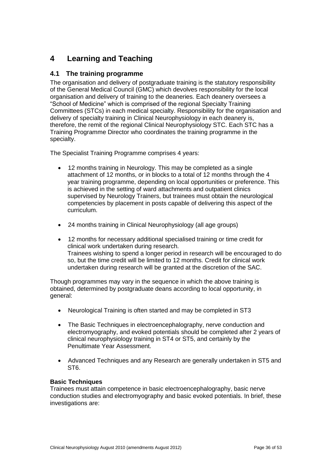# <span id="page-35-0"></span>**4 Learning and Teaching**

## <span id="page-35-1"></span>**4.1 The training programme**

The organisation and delivery of postgraduate training is the statutory responsibility of the General Medical Council (GMC) which devolves responsibility for the local organisation and delivery of training to the deaneries. Each deanery oversees a "School of Medicine" which is comprised of the regional Specialty Training Committees (STCs) in each medical specialty. Responsibility for the organisation and delivery of specialty training in Clinical Neurophysiology in each deanery is, therefore, the remit of the regional Clinical Neurophysiology STC. Each STC has a Training Programme Director who coordinates the training programme in the specialty.

The Specialist Training Programme comprises 4 years:

- 12 months training in Neurology. This may be completed as a single attachment of 12 months, or in blocks to a total of 12 months through the 4 year training programme, depending on local opportunities or preference. This is achieved in the setting of ward attachments and outpatient clinics supervised by Neurology Trainers, but trainees must obtain the neurological competencies by placement in posts capable of delivering this aspect of the curriculum.
- 24 months training in Clinical Neurophysiology (all age groups)
- 12 months for necessary additional specialised training or time credit for clinical work undertaken during research. Trainees wishing to spend a longer period in research will be encouraged to do so, but the time credit will be limited to 12 months. Credit for clinical work undertaken during research will be granted at the discretion of the SAC.

Though programmes may vary in the sequence in which the above training is obtained, determined by postgraduate deans according to local opportunity, in general:

- Neurological Training is often started and may be completed in ST3
- The Basic Techniques in electroencephalography, nerve conduction and electromyography, and evoked potentials should be completed after 2 years of clinical neurophysiology training in ST4 or ST5, and certainly by the Penultimate Year Assessment.
- Advanced Techniques and any Research are generally undertaken in ST5 and ST6.

### **Basic Techniques**

Trainees must attain competence in basic electroencephalography, basic nerve conduction studies and electromyography and basic evoked potentials. In brief, these investigations are: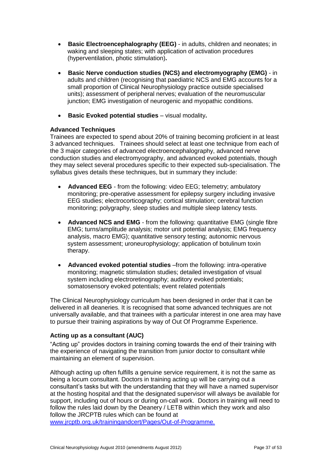- **Basic Electroencephalography (EEG)** in adults, children and neonates; in waking and sleeping states; with application of activation procedures (hyperventilation, photic stimulation)**.**
- **Basic Nerve conduction studies (NCS) and electromyography (EMG)** in adults and children (recognising that paediatric NCS and EMG accounts for a small proportion of Clinical Neurophysiology practice outside specialised units); assessment of peripheral nerves; evaluation of the neuromuscular junction; EMG investigation of neurogenic and myopathic conditions.
- **Basic Evoked potential studies** visual modality**.**

#### **Advanced Techniques**

Trainees are expected to spend about 20% of training becoming proficient in at least 3 advanced techniques. Trainees should select at least one technique from each of the 3 major categories of advanced electroencephalography, advanced nerve conduction studies and electromyography, and advanced evoked potentials, though they may select several procedures specific to their expected sub-specialisation. The syllabus gives details these techniques, but in summary they include:

- **Advanced EEG** from the following: video EEG; telemetry; ambulatory monitoring; pre-operative assessment for epilepsy surgery including invasive EEG studies; electrocorticography; cortical stimulation; cerebral function monitoring; polygraphy, sleep studies and multiple sleep latency tests.
- **Advanced NCS and EMG** from the following: quantitative EMG (single fibre EMG; turns/amplitude analysis; motor unit potential analysis; EMG frequency analysis, macro EMG); quantitative sensory testing; autonomic nervous system assessment; uroneurophysiology; application of botulinum toxin therapy.
- **Advanced evoked potential studies** –from the following: intra-operative monitoring; magnetic stimulation studies; detailed investigation of visual system including electroretinography; auditory evoked potentials; somatosensory evoked potentials; event related potentials

The Clinical Neurophysiology curriculum has been designed in order that it can be delivered in all deaneries. It is recognised that some advanced techniques are not universally available, and that trainees with a particular interest in one area may have to pursue their training aspirations by way of Out Of Programme Experience.

### **Acting up as a consultant (AUC)**

"Acting up" provides doctors in training coming towards the end of their training with the experience of navigating the transition from junior doctor to consultant while maintaining an element of supervision.

Although acting up often fulfills a genuine service requirement, it is not the same as being a locum consultant. Doctors in training acting up will be carrying out a consultant's tasks but with the understanding that they will have a named supervisor at the hosting hospital and that the designated supervisor will always be available for support, including out of hours or during on-call work. Doctors in training will need to follow the rules laid down by the Deanery / LETB within which they work and also follow the JRCPTB rules which can be found at [www.jrcptb.org.uk/trainingandcert/Pages/Out-of-Programme.](http://www.jrcptb.org.uk/trainingandcert/Pages/Out-of-Programme.aspx)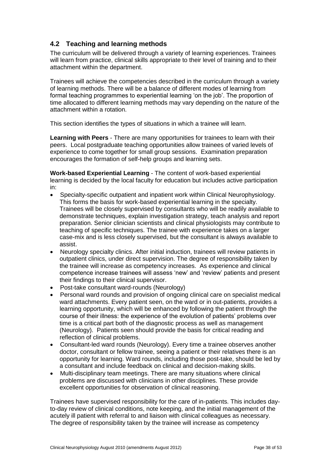## <span id="page-37-0"></span>**4.2 Teaching and learning methods**

The curriculum will be delivered through a variety of learning experiences. Trainees will learn from practice, clinical skills appropriate to their level of training and to their attachment within the department.

Trainees will achieve the competencies described in the curriculum through a variety of learning methods. There will be a balance of different modes of learning from formal teaching programmes to experiential learning 'on the job'. The proportion of time allocated to different learning methods may vary depending on the nature of the attachment within a rotation.

This section identifies the types of situations in which a trainee will learn.

**Learning with Peers** - There are many opportunities for trainees to learn with their peers. Local postgraduate teaching opportunities allow trainees of varied levels of experience to come together for small group sessions. Examination preparation encourages the formation of self-help groups and learning sets.

**Work-based Experiential Learning** - The content of work-based experiential learning is decided by the local faculty for education but includes active participation in:

- Specialty-specific outpatient and inpatient work within Clinical Neurophysiology. This forms the basis for work-based experiential learning in the specialty. Trainees will be closely supervised by consultants who will be readily available to demonstrate techniques, explain investigation strategy, teach analysis and report preparation. Senior clinician scientists and clinical physiologists may contribute to teaching of specific techniques. The trainee with experience takes on a larger case-mix and is less closely supervised, but the consultant is always available to assist.
- Neurology specialty clinics. After initial induction, trainees will review patients in outpatient clinics, under direct supervision. The degree of responsibility taken by the trainee will increase as competency increases. As experience and clinical competence increase trainees will assess 'new' and 'review' patients and present their findings to their clinical supervisor.
- Post-take consultant ward-rounds (Neurology)
- Personal ward rounds and provision of ongoing clinical care on specialist medical ward attachments. Every patient seen, on the ward or in out-patients, provides a learning opportunity, which will be enhanced by following the patient through the course of their illness: the experience of the evolution of patients' problems over time is a critical part both of the diagnostic process as well as management (Neurology). Patients seen should provide the basis for critical reading and reflection of clinical problems.
- Consultant-led ward rounds (Neurology). Every time a trainee observes another doctor, consultant or fellow trainee, seeing a patient or their relatives there is an opportunity for learning. Ward rounds, including those post-take, should be led by a consultant and include feedback on clinical and decision-making skills.
- Multi-disciplinary team meetings. There are many situations where clinical problems are discussed with clinicians in other disciplines. These provide excellent opportunities for observation of clinical reasoning.

Trainees have supervised responsibility for the care of in-patients. This includes dayto-day review of clinical conditions, note keeping, and the initial management of the acutely ill patient with referral to and liaison with clinical colleagues as necessary. The degree of responsibility taken by the trainee will increase as competency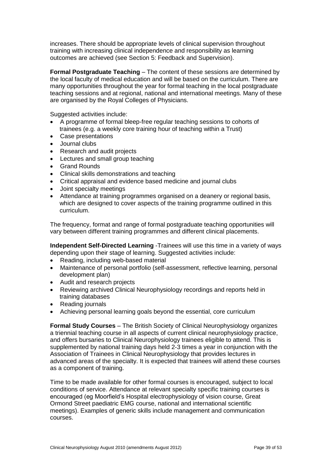increases. There should be appropriate levels of clinical supervision throughout training with increasing clinical independence and responsibility as learning outcomes are achieved (see Section 5: Feedback and Supervision).

**Formal Postgraduate Teaching** – The content of these sessions are determined by the local faculty of medical education and will be based on the curriculum. There are many opportunities throughout the year for formal teaching in the local postgraduate teaching sessions and at regional, national and international meetings. Many of these are organised by the Royal Colleges of Physicians.

Suggested activities include:

- A programme of formal bleep-free regular teaching sessions to cohorts of trainees (e.g. a weekly core training hour of teaching within a Trust)
- Case presentations
- Journal clubs
- Research and audit projects
- Lectures and small group teaching
- Grand Rounds
- Clinical skills demonstrations and teaching
- Critical appraisal and evidence based medicine and journal clubs
- Joint specialty meetings
- Attendance at training programmes organised on a deanery or regional basis, which are designed to cover aspects of the training programme outlined in this curriculum.

The frequency, format and range of formal postgraduate teaching opportunities will vary between different training programmes and different clinical placements.

**Independent Self-Directed Learning** -Trainees will use this time in a variety of ways depending upon their stage of learning. Suggested activities include:

- Reading, including web-based material
- Maintenance of personal portfolio (self-assessment, reflective learning, personal development plan)
- Audit and research projects
- Reviewing archived Clinical Neurophysiology recordings and reports held in training databases
- Reading journals
- Achieving personal learning goals beyond the essential, core curriculum

**Formal Study Courses** – The British Society of Clinical Neurophysiology organizes a triennial teaching course in all aspects of current clinical neurophysiology practice, and offers bursaries to Clinical Neurophysiology trainees eligible to attend. This is supplemented by national training days held 2-3 times a year in conjunction with the Association of Trainees in Clinical Neurophysiology that provides lectures in advanced areas of the specialty. It is expected that trainees will attend these courses as a component of training.

Time to be made available for other formal courses is encouraged, subject to local conditions of service. Attendance at relevant specialty specific training courses is encouraged (eg Moorfield's Hospital electrophysiology of vision course, Great Ormond Street paediatric EMG course, national and international scientific meetings). Examples of generic skills include management and communication courses.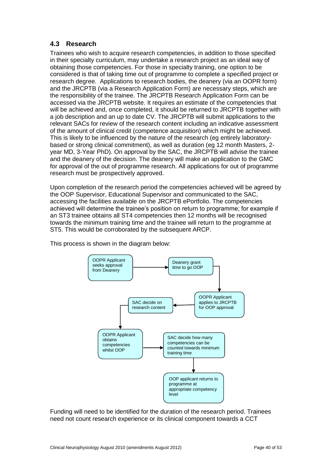## <span id="page-39-0"></span>**4.3 Research**

Trainees who wish to acquire research competencies, in addition to those specified in their specialty curriculum, may undertake a research project as an ideal way of obtaining those competencies. For those in specialty training, one option to be considered is that of taking time out of programme to complete a specified project or research degree. Applications to research bodies, the deanery (via an OOPR form) and the JRCPTB (via a Research Application Form) are necessary steps, which are the responsibility of the trainee. The JRCPTB Research Application Form can be accessed via the JRCPTB website. It requires an estimate of the competencies that will be achieved and, once completed, it should be returned to JRCPTB together with a job description and an up to date CV. The JRCPTB will submit applications to the relevant SACs for review of the research content including an indicative assessment of the amount of clinical credit (competence acquisition) which might be achieved. This is likely to be influenced by the nature of the research (eg entirely laboratorybased or strong clinical commitment), as well as duration (eg 12 month Masters, 2 year MD, 3-Year PhD). On approval by the SAC, the JRCPTB will advise the trainee and the deanery of the decision. The deanery will make an application to the GMC for approval of the out of programme research. All applications for out of programme research must be prospectively approved.

Upon completion of the research period the competencies achieved will be agreed by the OOP Supervisor, Educational Supervisor and communicated to the SAC, accessing the facilities available on the JRCPTB ePortfolio. The competencies achieved will determine the trainee's position on return to programme; for example if an ST3 trainee obtains all ST4 competencies then 12 months will be recognised towards the minimum training time and the trainee will return to the programme at ST5. This would be corroborated by the subsequent ARCP.

This process is shown in the diagram below:



Funding will need to be identified for the duration of the research period. Trainees need not count research experience or its clinical component towards a CCT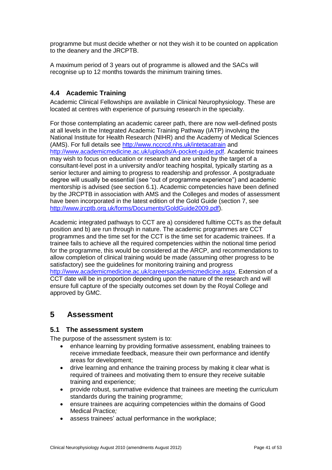programme but must decide whether or not they wish it to be counted on application to the deanery and the JRCPTB.

A maximum period of 3 years out of programme is allowed and the SACs will recognise up to 12 months towards the minimum training times.

## <span id="page-40-0"></span>**4.4 Academic Training**

Academic Clinical Fellowships are available in Clinical Neurophysiology. These are located at centres with experience of pursuing research in the specialty.

For those contemplating an academic career path, there are now well-defined posts at all levels in the Integrated Academic Training Pathway (IATP) involving the National Institute for Health Research (NIHR) and the Academy of Medical Sciences (AMS). For full details see <http://www.nccrcd.nhs.uk/intetacatrain> and [http://www.academicmedicine.ac.uk/uploads/A-pocket-guide.pdf.](http://www.academicmedicine.ac.uk/uploads/A-pocket-guide.pdf) Academic trainees may wish to focus on education or research and are united by the target of a consultant-level post in a university and/or teaching hospital, typically starting as a senior lecturer and aiming to progress to readership and professor. A postgraduate degree will usually be essential (see "out of programme experience") and academic mentorship is advised (see section 6.1). Academic competencies have been defined by the JRCPTB in association with AMS and the Colleges and modes of assessment have been incorporated in the latest edition of the Gold Guide (section 7, se[e](http://www.jrcptb.org.uk/forms/Documents/GoldGuide2009.pdf) [http://www.jrcptb.org.uk/forms/Documents/GoldGuide2009.pdf\)](http://www.jrcptb.org.uk/forms/Documents/GoldGuide2009.pdf).

Academic integrated pathways to CCT are a) considered fulltime CCTs as the default position and b) are run through in nature. The academic programmes are CCT programmes and the time set for the CCT is the time set for academic trainees. If a trainee fails to achieve all the required competencies within the notional time period for the programme, this would be considered at the ARCP, and recommendations to allow completion of clinical training would be made (assuming other progress to be satisfactory) see the guidelines for monitoring training and progress [http://www.academicmedicine.ac.uk/careersacademicmedicine.aspx.](http://www.academicmedicine.ac.uk/careersacademicmedicine.aspx) Extension of a CCT date will be in proportion depending upon the nature of the research and will ensure full capture of the specialty outcomes set down by the Royal College and approved by GMC.

## <span id="page-40-1"></span>**5 Assessment**

### <span id="page-40-2"></span>**5.1 The assessment system**

The purpose of the assessment system is to:

- enhance learning by providing formative assessment, enabling trainees to receive immediate feedback, measure their own performance and identify areas for development;
- drive learning and enhance the training process by making it clear what is required of trainees and motivating them to ensure they receive suitable training and experience;
- provide robust, summative evidence that trainees are meeting the curriculum standards during the training programme;
- ensure trainees are acquiring competencies within the domains of Good Medical Practice*;*
- assess trainees' actual performance in the workplace;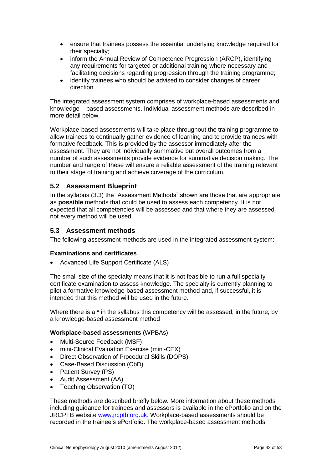- ensure that trainees possess the essential underlying knowledge required for their specialty;
- inform the Annual Review of Competence Progression (ARCP), identifying any requirements for targeted or additional training where necessary and facilitating decisions regarding progression through the training programme;
- identify trainees who should be advised to consider changes of career direction.

The integrated assessment system comprises of workplace-based assessments and knowledge – based assessments. Individual assessment methods are described in more detail below.

Workplace-based assessments will take place throughout the training programme to allow trainees to continually gather evidence of learning and to provide trainees with formative feedback. This is provided by the assessor immediately after the assessment. They are not individually summative but overall outcomes from a number of such assessments provide evidence for summative decision making. The number and range of these will ensure a reliable assessment of the training relevant to their stage of training and achieve coverage of the curriculum.

## <span id="page-41-0"></span>**5.2 Assessment Blueprint**

In the syllabus [\(3.3\)](#page-6-1) the "Assessment Methods" shown are those that are appropriate as **possible** methods that could be used to assess each competency. It is not expected that all competencies will be assessed and that where they are assessed not every method will be used.

### <span id="page-41-1"></span>**5.3 Assessment methods**

The following assessment methods are used in the integrated assessment system:

#### **Examinations and certificates**

Advanced Life Support Certificate (ALS)

The small size of the specialty means that it is not feasible to run a full specialty certificate examination to assess knowledge. The specialty is currently planning to pilot a formative knowledge-based assessment method and, if successful, it is intended that this method will be used in the future.

Where there is a  $*$  in the syllabus this competency will be assessed, in the future, by a knowledge-based assessment method

#### **Workplace-based assessments** (WPBAs)

- Multi-Source Feedback (MSF)
- mini-Clinical Evaluation Exercise (mini-CEX)
- Direct Observation of Procedural Skills (DOPS)
- Case-Based Discussion (CbD)
- Patient Survey (PS)
- Audit Assessment (AA)
- Teaching Observation (TO)

These methods are described briefly below. More information about these methods including guidance for trainees and assessors is available in the ePortfolio and on the JRCPTB website [www.jrcptb.org.uk.](http://www.jrcptb.org.uk/) Workplace-based assessments should be recorded in the trainee's ePortfolio. The workplace-based assessment methods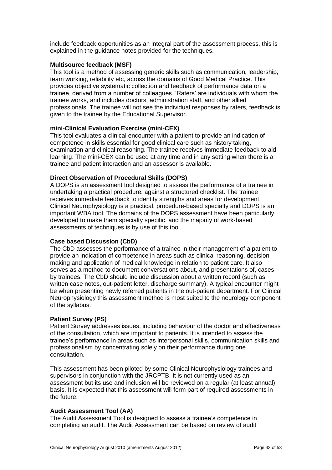include feedback opportunities as an integral part of the assessment process, this is explained in the guidance notes provided for the techniques.

#### **Multisource feedback (MSF)**

This tool is a method of assessing generic skills such as communication, leadership, team working, reliability etc, across the domains of Good Medical Practice. This provides objective systematic collection and feedback of performance data on a trainee, derived from a number of colleagues. 'Raters' are individuals with whom the trainee works, and includes doctors, administration staff, and other allied professionals. The trainee will not see the individual responses by raters, feedback is given to the trainee by the Educational Supervisor.

#### **mini-Clinical Evaluation Exercise (mini-CEX)**

This tool evaluates a clinical encounter with a patient to provide an indication of competence in skills essential for good clinical care such as history taking, examination and clinical reasoning. The trainee receives immediate feedback to aid learning. The mini-CEX can be used at any time and in any setting when there is a trainee and patient interaction and an assessor is available.

#### **Direct Observation of Procedural Skills (DOPS)**

A DOPS is an assessment tool designed to assess the performance of a trainee in undertaking a practical procedure, against a structured checklist. The trainee receives immediate feedback to identify strengths and areas for development. Clinical Neurophysiology is a practical, procedure-based specialty and DOPS is an important WBA tool. The domains of the DOPS assessment have been particularly developed to make them specialty specific, and the majority of work-based assessments of techniques is by use of this tool.

#### **Case based Discussion (CbD)**

The CbD assesses the performance of a trainee in their management of a patient to provide an indication of competence in areas such as clinical reasoning, decisionmaking and application of medical knowledge in relation to patient care. It also serves as a method to document conversations about, and presentations of, cases by trainees. The CbD should include discussion about a written record (such as written case notes, out-patient letter, discharge summary). A typical encounter might be when presenting newly referred patients in the out-patient department. For Clinical Neurophysiology this assessment method is most suited to the neurology component of the syllabus.

#### **Patient Survey (PS)**

Patient Survey addresses issues, including behaviour of the doctor and effectiveness of the consultation, which are important to patients. It is intended to assess the trainee's performance in areas such as interpersonal skills, communication skills and professionalism by concentrating solely on their performance during one consultation.

This assessment has been piloted by some Clinical Neurophysiology trainees and supervisors in conjunction with the JRCPTB. It is not currently used as an assessment but its use and inclusion will be reviewed on a regular (at least annual) basis. It is expected that this assessment will form part of required assessments in the future.

### **Audit Assessment Tool (AA)**

The Audit Assessment Tool is designed to assess a trainee's competence in completing an audit. The Audit Assessment can be based on review of audit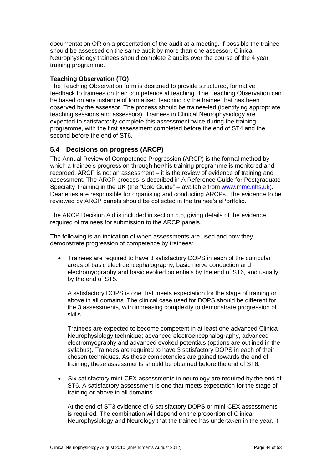documentation OR on a presentation of the audit at a meeting. If possible the trainee should be assessed on the same audit by more than one assessor. Clinical Neurophysiology trainees should complete 2 audits over the course of the 4 year training programme.

## **Teaching Observation (TO)**

The Teaching Observation form is designed to provide structured, formative feedback to trainees on their competence at teaching. The Teaching Observation can be based on any instance of formalised teaching by the trainee that has been observed by the assessor. The process should be trainee-led (identifying appropriate teaching sessions and assessors). Trainees in Clinical Neurophysiology are expected to satisfactorily complete this assessment twice during the training programme, with the first assessment completed before the end of ST4 and the second before the end of ST6.

## <span id="page-43-0"></span>**5.4 Decisions on progress (ARCP)**

The Annual Review of Competence Progression (ARCP) is the formal method by which a trainee's progression through her/his training programme is monitored and recorded. ARCP is not an assessment – it is the review of evidence of training and assessment. The ARCP process is described in A Reference Guide for Postgraduate Specialty Training in the UK (the "Gold Guide" – available from [www.mmc.nhs.uk\)](http://www.mmc.nhs.uk/). Deaneries are responsible for organising and conducting ARCPs. The evidence to be reviewed by ARCP panels should be collected in the trainee's ePortfolio.

The ARCP Decision Aid is included in section 5.5, giving details of the evidence required of trainees for submission to the ARCP panels.

The following is an indication of when assessments are used and how they demonstrate progression of competence by trainees:

 Trainees are required to have 3 satisfactory DOPS in each of the curricular areas of basic electroencephalography, basic nerve conduction and electromyography and basic evoked potentials by the end of ST6, and usually by the end of ST5.

A satisfactory DOPS is one that meets expectation for the stage of training or above in all domains. The clinical case used for DOPS should be different for the 3 assessments, with increasing complexity to demonstrate progression of skills

Trainees are expected to become competent in at least one advanced Clinical Neurophysiology technique; advanced electroencephalography, advanced electromyography and advanced evoked potentials (options are outlined in the syllabus). Trainees are required to have 3 satisfactory DOPS in each of their chosen techniques. As these competencies are gained towards the end of training, these assessments should be obtained before the end of ST6.

 Six satisfactory mini-CEX assessments in neurology are required by the end of ST6. A satisfactory assessment is one that meets expectation for the stage of training or above in all domains.

At the end of ST3 evidence of 6 satisfactory DOPS or mini-CEX assessments is required. The combination will depend on the proportion of Clinical Neurophysiology and Neurology that the trainee has undertaken in the year. If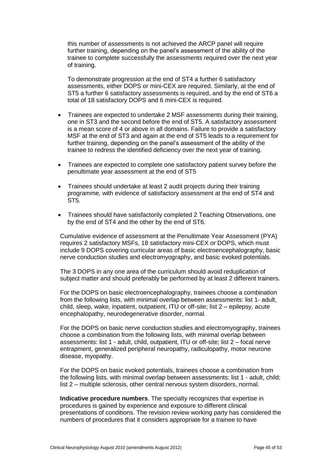this number of assessments is not achieved the ARCP panel will require further training, depending on the panel's assessment of the ability of the trainee to complete successfully the assessments required over the next year of training.

To demonstrate progression at the end of ST4 a further 6 satisfactory assessments, either DOPS or mini-CEX are required. Similarly, at the end of ST5 a further 6 satisfactory assessments is required, and by the end of ST6 a total of 18 satisfactory DOPS and 6 mini-CEX is required.

- Trainees are expected to undertake 2 MSF assessments during their training, one in ST3 and the second before the end of ST5. A satisfactory assessment is a mean score of 4 or above in all domains. Failure to provide a satisfactory MSF at the end of ST3 and again at the end of ST5 leads to a requirement for further training, depending on the panel's assessment of the ability of the trainee to redress the identified deficiency over the next year of training.
- Trainees are expected to complete one satisfactory patient survey before the penultimate year assessment at the end of ST5
- Trainees should undertake at least 2 audit projects during their training programme, with evidence of satisfactory assessment at the end of ST4 and ST<sub>5</sub>
- Trainees should have satisfactorily completed 2 Teaching Observations, one by the end of ST4 and the other by the end of ST6.

Cumulative evidence of assessment at the Penultimate Year Assessment (PYA) requires 2 satisfactory MSFs, 18 satisfactory mini-CEX or DOPS, which must include 9 DOPS covering curricular areas of basic electroencephalography, basic nerve conduction studies and electromyography, and basic evoked potentials.

The 3 DOPS in any one area of the curriculum should avoid reduplication of subject matter and should preferably be performed by at least 2 different trainers.

For the DOPS on basic electroencephalography, trainees choose a combination from the following lists, with minimal overlap between assessments: list 1- adult, child, sleep, wake, inpatient, outpatient, ITU or off-site; list 2 – epilepsy, acute encephalopathy, neurodegenerative disorder, normal.

For the DOPS on basic nerve conduction studies and electromyography, trainees choose a combination from the following lists, with minimal overlap between assessments: list 1 - adult, child, outpatient, ITU or off-site; list 2 – focal nerve entrapment, generalized peripheral neuropathy, radiculopathy, motor neurone disease, myopathy.

For the DOPS on basic evoked potentials, trainees choose a combination from the following lists, with minimal overlap between assessments: list 1 - adult, child; list 2 – multiple sclerosis, other central nervous system disorders, normal.

**Indicative procedure numbers**. The specialty recognizes that expertise in procedures is gained by experience and exposure to different clinical presentations of conditions. The revision review working party has considered the numbers of procedures that it considers appropriate for a trainee to have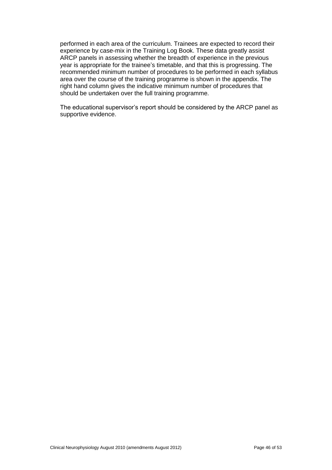performed in each area of the curriculum. Trainees are expected to record their experience by case-mix in the Training Log Book. These data greatly assist ARCP panels in assessing whether the breadth of experience in the previous year is appropriate for the trainee's timetable, and that this is progressing. The recommended minimum number of procedures to be performed in each syllabus area over the course of the training programme is shown in the appendix. The right hand column gives the indicative minimum number of procedures that should be undertaken over the full training programme.

The educational supervisor's report should be considered by the ARCP panel as supportive evidence.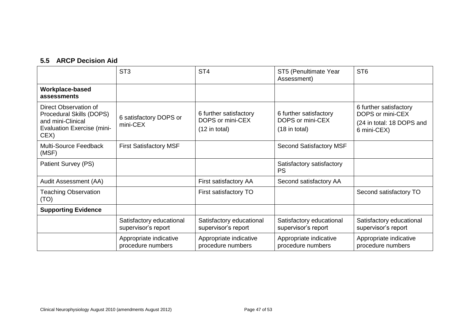# **5.5 ARCP Decision Aid**

<span id="page-46-0"></span>

|                                                                                                                     | ST <sub>3</sub>                                 | ST <sub>4</sub>                                               | ST5 (Penultimate Year<br>Assessment)                          | ST <sub>6</sub>                                                                        |
|---------------------------------------------------------------------------------------------------------------------|-------------------------------------------------|---------------------------------------------------------------|---------------------------------------------------------------|----------------------------------------------------------------------------------------|
| Workplace-based<br>assessments                                                                                      |                                                 |                                                               |                                                               |                                                                                        |
| Direct Observation of<br>Procedural Skills (DOPS)<br>and mini-Clinical<br><b>Evaluation Exercise (mini-</b><br>CEX) | 6 satisfactory DOPS or<br>mini-CEX              | 6 further satisfactory<br>DOPS or mini-CEX<br>$(12$ in total) | 6 further satisfactory<br>DOPS or mini-CEX<br>$(18$ in total) | 6 further satisfactory<br>DOPS or mini-CEX<br>(24 in total: 18 DOPS and<br>6 mini-CEX) |
| Multi-Source Feedback<br>(MSF)                                                                                      | <b>First Satisfactory MSF</b>                   |                                                               | <b>Second Satisfactory MSF</b>                                |                                                                                        |
| Patient Survey (PS)                                                                                                 |                                                 |                                                               | Satisfactory satisfactory<br><b>PS</b>                        |                                                                                        |
| Audit Assessment (AA)                                                                                               |                                                 | First satisfactory AA                                         | Second satisfactory AA                                        |                                                                                        |
| <b>Teaching Observation</b><br>(TO)                                                                                 |                                                 | First satisfactory TO                                         |                                                               | Second satisfactory TO                                                                 |
| <b>Supporting Evidence</b>                                                                                          |                                                 |                                                               |                                                               |                                                                                        |
|                                                                                                                     | Satisfactory educational<br>supervisor's report | Satisfactory educational<br>supervisor's report               | Satisfactory educational<br>supervisor's report               | Satisfactory educational<br>supervisor's report                                        |
|                                                                                                                     | Appropriate indicative<br>procedure numbers     | Appropriate indicative<br>procedure numbers                   | Appropriate indicative<br>procedure numbers                   | Appropriate indicative<br>procedure numbers                                            |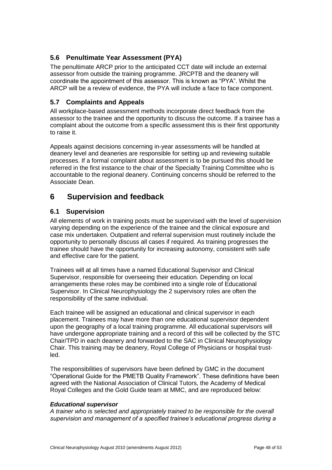## <span id="page-47-0"></span>**5.6 Penultimate Year Assessment (PYA)**

The penultimate ARCP prior to the anticipated CCT date will include an external assessor from outside the training programme. JRCPTB and the deanery will coordinate the appointment of this assessor. This is known as "PYA". Whilst the ARCP will be a review of evidence, the PYA will include a face to face component.

## <span id="page-47-1"></span>**5.7 Complaints and Appeals**

All workplace-based assessment methods incorporate direct feedback from the assessor to the trainee and the opportunity to discuss the outcome. If a trainee has a complaint about the outcome from a specific assessment this is their first opportunity to raise it.

Appeals against decisions concerning in-year assessments will be handled at deanery level and deaneries are responsible for setting up and reviewing suitable processes. If a formal complaint about assessment is to be pursued this should be referred in the first instance to the chair of the Specialty Training Committee who is accountable to the regional deanery. Continuing concerns should be referred to the Associate Dean.

# <span id="page-47-2"></span>**6 Supervision and feedback**

## <span id="page-47-3"></span>**6.1 Supervision**

All elements of work in training posts must be supervised with the level of supervision varying depending on the experience of the trainee and the clinical exposure and case mix undertaken. Outpatient and referral supervision must routinely include the opportunity to personally discuss all cases if required. As training progresses the trainee should have the opportunity for increasing autonomy, consistent with safe and effective care for the patient.

Trainees will at all times have a named Educational Supervisor and Clinical Supervisor, responsible for overseeing their education. Depending on local arrangements these roles may be combined into a single role of Educational Supervisor. In Clinical Neurophysiology the 2 supervisory roles are often the responsibility of the same individual.

Each trainee will be assigned an educational and clinical supervisor in each placement. Trainees may have more than one educational supervisor dependent upon the geography of a local training programme. All educational supervisors will have undergone appropriate training and a record of this will be collected by the STC Chair/TPD in each deanery and forwarded to the SAC in Clinical Neurophysiology Chair. This training may be deanery, Royal College of Physicians or hospital trustled.

The responsibilities of supervisors have been defined by GMC in the document "Operational Guide for the PMETB Quality Framework". These definitions have been agreed with the National Association of Clinical Tutors, the Academy of Medical Royal Colleges and the Gold Guide team at MMC, and are reproduced below:

### *Educational supervisor*

*A trainer who is selected and appropriately trained to be responsible for the overall supervision and management of a specified trainee's educational progress during a*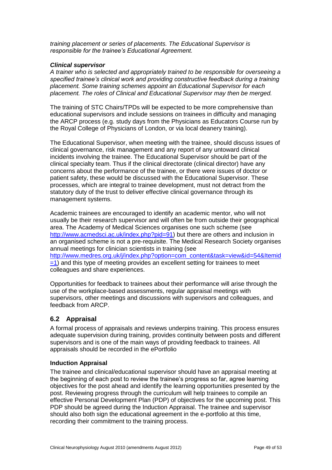*training placement or series of placements. The Educational Supervisor is responsible for the trainee's Educational Agreement.*

#### *Clinical supervisor*

*A trainer who is selected and appropriately trained to be responsible for overseeing a specified trainee's clinical work and providing constructive feedback during a training placement. Some training schemes appoint an Educational Supervisor for each placement. The roles of Clinical and Educational Supervisor may then be merged.*

The training of STC Chairs/TPDs will be expected to be more comprehensive than educational supervisors and include sessions on trainees in difficulty and managing the ARCP process (e.g. study days from the Physicians as Educators Course run by the Royal College of Physicians of London, or via local deanery training).

The Educational Supervisor, when meeting with the trainee, should discuss issues of clinical governance, risk management and any report of any untoward clinical incidents involving the trainee. The Educational Supervisor should be part of the clinical specialty team. Thus if the clinical directorate (clinical director) have any concerns about the performance of the trainee, or there were issues of doctor or patient safety, these would be discussed with the Educational Supervisor. These processes, which are integral to trainee development, must not detract from the statutory duty of the trust to deliver effective clinical governance through its management systems.

Academic trainees are encouraged to identify an academic mentor, who will not usually be their research supervisor and will often be from outside their geographical area. The Academy of Medical Sciences organises one such scheme (see [http://www.acmedsci.ac.uk/index.php?pid=91\)](http://www.acmedsci.ac.uk/index.php?pid=91) but there are others and inclusion in an organised scheme is not a pre-requisite. The Medical Research Society organises annual meetings for clinician scientists in training (see [http://www.medres.org.uk/j/index.php?option=com\\_content&task=view&id=54&Itemid](http://www.medres.org.uk/j/index.php?option=com_content&task=view&id=54&Itemid=1)  $=1$ ) and this type of meeting provides an excellent setting for trainees to meet colleagues and share experiences.

Opportunities for feedback to trainees about their performance will arise through the use of the workplace-based assessments, regular appraisal meetings with supervisors, other meetings and discussions with supervisors and colleagues, and feedback from ARCP.

### <span id="page-48-0"></span>**6.2 Appraisal**

A formal process of appraisals and reviews underpins training. This process ensures adequate supervision during training, provides continuity between posts and different supervisors and is one of the main ways of providing feedback to trainees. All appraisals should be recorded in the ePortfolio

#### **Induction Appraisal**

The trainee and clinical/educational supervisor should have an appraisal meeting at the beginning of each post to review the trainee's progress so far, agree learning objectives for the post ahead and identify the learning opportunities presented by the post. Reviewing progress through the curriculum will help trainees to compile an effective Personal Development Plan (PDP) of objectives for the upcoming post. This PDP should be agreed during the Induction Appraisal. The trainee and supervisor should also both sign the educational agreement in the e-portfolio at this time, recording their commitment to the training process.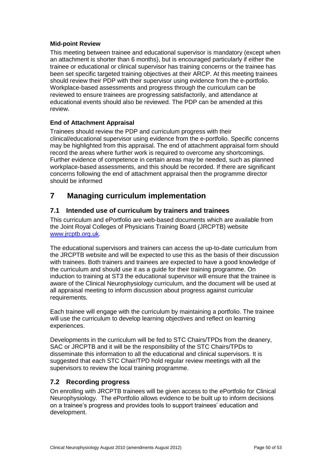## **Mid-point Review**

This meeting between trainee and educational supervisor is mandatory (except when an attachment is shorter than 6 months), but is encouraged particularly if either the trainee or educational or clinical supervisor has training concerns or the trainee has been set specific targeted training objectives at their ARCP. At this meeting trainees should review their PDP with their supervisor using evidence from the e-portfolio. Workplace-based assessments and progress through the curriculum can be reviewed to ensure trainees are progressing satisfactorily, and attendance at educational events should also be reviewed. The PDP can be amended at this review.

## **End of Attachment Appraisal**

Trainees should review the PDP and curriculum progress with their clinical/educational supervisor using evidence from the e-portfolio. Specific concerns may be highlighted from this appraisal. The end of attachment appraisal form should record the areas where further work is required to overcome any shortcomings. Further evidence of competence in certain areas may be needed, such as planned workplace-based assessments, and this should be recorded. If there are significant concerns following the end of attachment appraisal then the programme director should be informed

# <span id="page-49-0"></span>**7 Managing curriculum implementation**

## <span id="page-49-1"></span>**7.1 Intended use of curriculum by trainers and trainees**

This curriculum and ePortfolio are web-based documents which are available from the Joint Royal Colleges of Physicians Training Board (JRCPTB) website [www.jrcptb.org.uk.](http://www.jrcptb.org.uk/)

The educational supervisors and trainers can access the up-to-date curriculum from the JRCPTB website and will be expected to use this as the basis of their discussion with trainees. Both trainers and trainees are expected to have a good knowledge of the curriculum and should use it as a guide for their training programme. On induction to training at ST3 the educational supervisor will ensure that the trainee is aware of the Clinical Neurophysiology curriculum, and the document will be used at all appraisal meeting to inform discussion about progress against curricular requirements.

Each trainee will engage with the curriculum by maintaining a portfolio. The trainee will use the curriculum to develop learning objectives and reflect on learning experiences.

Developments in the curriculum will be fed to STC Chairs/TPDs from the deanery, SAC or JRCPTB and it will be the responsibility of the STC Chairs/TPDs to disseminate this information to all the educational and clinical supervisors. It is suggested that each STC Chair/TPD hold regular review meetings with all the supervisors to review the local training programme.

### <span id="page-49-2"></span>**7.2 Recording progress**

On enrolling with JRCPTB trainees will be given access to the ePortfolio for Clinical Neurophysiology. The ePortfolio allows evidence to be built up to inform decisions on a trainee's progress and provides tools to support trainees' education and development.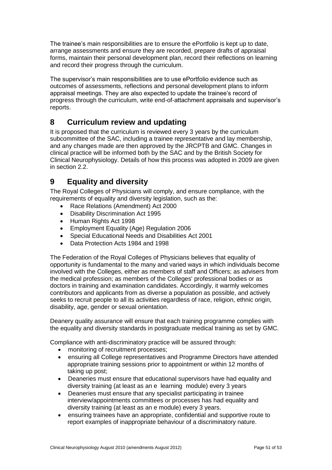The trainee's main responsibilities are to ensure the ePortfolio is kept up to date, arrange assessments and ensure they are recorded, prepare drafts of appraisal forms, maintain their personal development plan, record their reflections on learning and record their progress through the curriculum.

The supervisor's main responsibilities are to use ePortfolio evidence such as outcomes of assessments, reflections and personal development plans to inform appraisal meetings. They are also expected to update the trainee's record of progress through the curriculum, write end-of-attachment appraisals and supervisor's reports.

# <span id="page-50-0"></span>**8 Curriculum review and updating**

It is proposed that the curriculum is reviewed every 3 years by the curriculum subcommittee of the SAC, including a trainee representative and lay membership, and any changes made are then approved by the JRCPTB and GMC. Changes in clinical practice will be informed both by the SAC and by the British Society for Clinical Neurophysiology. Details of how this process was adopted in 2009 are given in section [2.2.](#page-2-3)

# <span id="page-50-1"></span>**9 Equality and diversity**

The Royal Colleges of Physicians will comply, and ensure compliance, with the requirements of equality and diversity legislation, such as the:

- Race Relations (Amendment) Act 2000
- Disability Discrimination Act 1995
- Human Rights Act 1998
- Employment Equality (Age) Regulation 2006
- Special Educational Needs and Disabilities Act 2001
- Data Protection Acts 1984 and 1998

The Federation of the Royal Colleges of Physicians believes that equality of opportunity is fundamental to the many and varied ways in which individuals become involved with the Colleges, either as members of staff and Officers; as advisers from the medical profession; as members of the Colleges' professional bodies or as doctors in training and examination candidates. Accordingly, it warmly welcomes contributors and applicants from as diverse a population as possible, and actively seeks to recruit people to all its activities regardless of race, religion, ethnic origin, disability, age, gender or sexual orientation.

Deanery quality assurance will ensure that each training programme complies with the equality and diversity standards in postgraduate medical training as set by GMC.

Compliance with anti-discriminatory practice will be assured through:

- monitoring of recruitment processes;
- ensuring all College representatives and Programme Directors have attended appropriate training sessions prior to appointment or within 12 months of taking up post;
- Deaneries must ensure that educational supervisors have had equality and diversity training (at least as an e learning module) every 3 years
- Deaneries must ensure that any specialist participating in trainee interview/appointments committees or processes has had equality and diversity training (at least as an e module) every 3 years.
- ensuring trainees have an appropriate, confidential and supportive route to report examples of inappropriate behaviour of a discriminatory nature.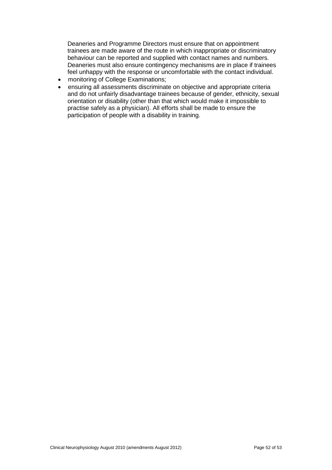Deaneries and Programme Directors must ensure that on appointment trainees are made aware of the route in which inappropriate or discriminatory behaviour can be reported and supplied with contact names and numbers. Deaneries must also ensure contingency mechanisms are in place if trainees feel unhappy with the response or uncomfortable with the contact individual.

- monitoring of College Examinations;
- ensuring all assessments discriminate on objective and appropriate criteria and do not unfairly disadvantage trainees because of gender, ethnicity, sexual orientation or disability (other than that which would make it impossible to practise safely as a physician). All efforts shall be made to ensure the participation of people with a disability in training.